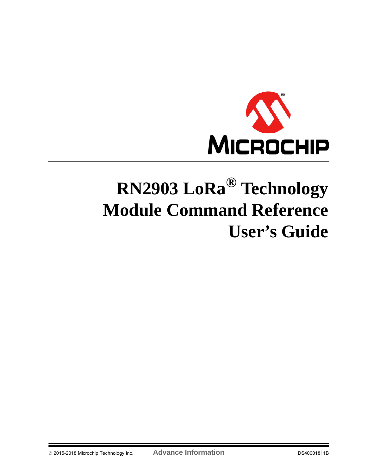

# **RN2903 LoRa® Technology Module Command Reference User's Guide**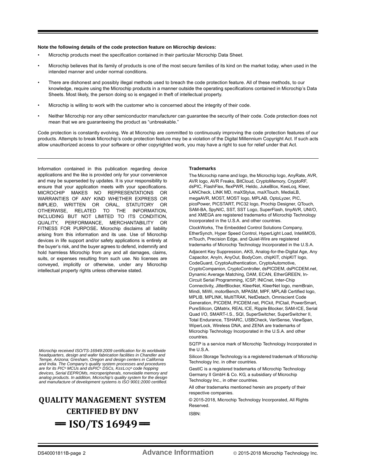#### **Note the following details of the code protection feature on Microchip devices:**

- Microchip products meet the specification contained in their particular Microchip Data Sheet.
- Microchip believes that its family of products is one of the most secure families of its kind on the market today, when used in the intended manner and under normal conditions.
- There are dishonest and possibly illegal methods used to breach the code protection feature. All of these methods, to our knowledge, require using the Microchip products in a manner outside the operating specifications contained in Microchip's Data Sheets. Most likely, the person doing so is engaged in theft of intellectual property.
- Microchip is willing to work with the customer who is concerned about the integrity of their code.
- Neither Microchip nor any other semiconductor manufacturer can guarantee the security of their code. Code protection does not mean that we are guaranteeing the product as "unbreakable."

Code protection is constantly evolving. We at Microchip are committed to continuously improving the code protection features of our products. Attempts to break Microchip's code protection feature may be a violation of the Digital Millennium Copyright Act. If such acts allow unauthorized access to your software or other copyrighted work, you may have a right to sue for relief under that Act.

Information contained in this publication regarding device applications and the like is provided only for your convenience and may be superseded by updates. It is your responsibility to ensure that your application meets with your specifications. MICROCHIP MAKES NO REPRESENTATIONS OR WARRANTIES OF ANY KIND WHETHER EXPRESS OR IMPLIED, WRITTEN OR ORAL, STATUTORY OR OTHERWISE, RELATED TO THE INFORMATION, INCLUDING BUT NOT LIMITED TO ITS CONDITION, QUALITY, PERFORMANCE, MERCHANTABILITY OR FITNESS FOR PURPOSE**.** Microchip disclaims all liability arising from this information and its use. Use of Microchip devices in life support and/or safety applications is entirely at the buyer's risk, and the buyer agrees to defend, indemnify and hold harmless Microchip from any and all damages, claims, suits, or expenses resulting from such use. No licenses are conveyed, implicitly or otherwise, under any Microchip intellectual property rights unless otherwise stated.

*Microchip received ISO/TS-16949:2009 certification for its worldwide headquarters, design and wafer fabrication facilities in Chandler and Tempe, Arizona; Gresham, Oregon and design centers in California and India. The Company's quality system processes and procedures are for its PIC® MCUs and dsPIC® DSCs, KEELOQ® code hopping devices, Serial EEPROMs, microperipherals, nonvolatile memory and analog products. In addition, Microchip's quality system for the design and manufacture of development systems is ISO 9001:2000 certified.*

# **QUALITY MANAGEMENT SYSTEM CERTIFIED BY DNV**   $=$  **ISO/TS 16949**  $=$

#### **Trademarks**

The Microchip name and logo, the Microchip logo, AnyRate, AVR, AVR logo, AVR Freaks, BitCloud, CryptoMemory, CryptoRF, dsPIC, FlashFlex, flexPWR, Heldo, JukeBlox, KeeLoq, Kleer, LANCheck, LINK MD, maXStylus, maXTouch, MediaLB, megaAVR, MOST, MOST logo, MPLAB, OptoLyzer, PIC, picoPower, PICSTART, PIC32 logo, Prochip Designer, QTouch, SAM-BA, SpyNIC, SST, SST Logo, SuperFlash, tinyAVR, UNI/O, and XMEGA are registered trademarks of Microchip Technology Incorporated in the U.S.A. and other countries. ClockWorks, The Embedded Control Solutions Company, EtherSynch, Hyper Speed Control, HyperLight Load, IntelliMOS, mTouch, Precision Edge, and Quiet-Wire are registered trademarks of Microchip Technology Incorporated in the U.S.A. Adjacent Key Suppression, AKS, Analog-for-the-Digital Age, Any Capacitor, AnyIn, AnyOut, BodyCom, chipKIT, chipKIT logo, CodeGuard, CryptoAuthentication, CryptoAutomotive, CryptoCompanion, CryptoController, dsPICDEM, dsPICDEM.net, Dynamic Average Matching, DAM, ECAN, EtherGREEN, In-Circuit Serial Programming, ICSP, INICnet, Inter-Chip Connectivity, JitterBlocker, KleerNet, KleerNet logo, memBrain, Mindi, MiWi, motorBench, MPASM, MPF, MPLAB Certified logo, MPLIB, MPLINK, MultiTRAK, NetDetach, Omniscient Code Generation, PICDEM, PICDEM.net, PICkit, PICtail, PowerSmart, PureSilicon, QMatrix, REAL ICE, Ripple Blocker, SAM-ICE, Serial Quad I/O, SMART-I.S., SQI, SuperSwitcher, SuperSwitcher II, Total Endurance, TSHARC, USBCheck, VariSense, ViewSpan, WiperLock, Wireless DNA, and ZENA are trademarks of Microchip Technology Incorporated in the U.S.A. and other countries.

SQTP is a service mark of Microchip Technology Incorporated in the U.S.A.

Silicon Storage Technology is a registered trademark of Microchip Technology Inc. in other countries.

GestIC is a registered trademarks of Microchip Technology Germany II GmbH & Co. KG, a subsidiary of Microchip Technology Inc., in other countries.

All other trademarks mentioned herein are property of their respective companies.

© 2015-2018, Microchip Technology Incorporated, All Rights Reserved.

ISBN: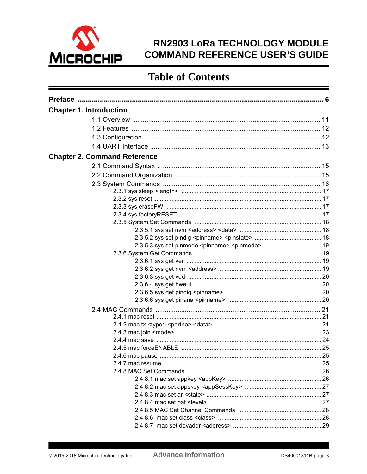

# RN2903 LoRa TECHNOLOGY MODULE **COMMAND REFERENCE USER'S GUIDE**

# **Table of Contents**

| <b>Chapter 1. Introduction</b><br><b>Chapter 2. Command Reference</b> |  |
|-----------------------------------------------------------------------|--|
|                                                                       |  |
|                                                                       |  |
|                                                                       |  |
|                                                                       |  |
|                                                                       |  |
|                                                                       |  |
|                                                                       |  |
|                                                                       |  |
|                                                                       |  |
|                                                                       |  |
|                                                                       |  |
|                                                                       |  |
|                                                                       |  |
|                                                                       |  |
|                                                                       |  |
|                                                                       |  |
|                                                                       |  |
|                                                                       |  |
|                                                                       |  |
|                                                                       |  |
|                                                                       |  |
|                                                                       |  |
|                                                                       |  |
|                                                                       |  |
|                                                                       |  |
|                                                                       |  |
|                                                                       |  |
|                                                                       |  |
|                                                                       |  |
|                                                                       |  |
|                                                                       |  |
|                                                                       |  |
|                                                                       |  |
|                                                                       |  |
|                                                                       |  |
|                                                                       |  |
|                                                                       |  |
|                                                                       |  |
|                                                                       |  |
|                                                                       |  |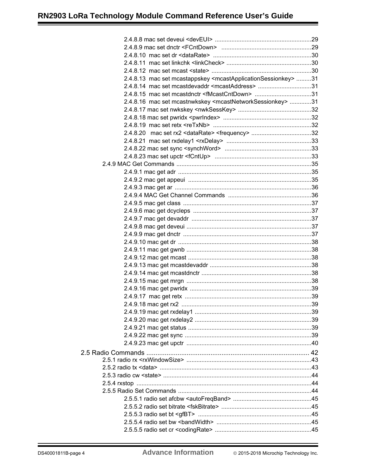| 2.4.8.13 mac set mcastappskey <mcastapplicationsessionkey> 31</mcastapplicationsessionkey> |  |
|--------------------------------------------------------------------------------------------|--|
| 2.4.8.14 mac set mcastdevaddr <mcastaddress> 31</mcastaddress>                             |  |
| 2.4.8.15 mac set mcastdnctr <fmcastcntdown> 31</fmcastcntdown>                             |  |
| 2.4.8.16 mac set mcastnwkskey <mcastnetworksessionkey> 31</mcastnetworksessionkey>         |  |
|                                                                                            |  |
|                                                                                            |  |
|                                                                                            |  |
|                                                                                            |  |
|                                                                                            |  |
|                                                                                            |  |
|                                                                                            |  |
|                                                                                            |  |
|                                                                                            |  |
|                                                                                            |  |
|                                                                                            |  |
|                                                                                            |  |
|                                                                                            |  |
|                                                                                            |  |
|                                                                                            |  |
|                                                                                            |  |
|                                                                                            |  |
|                                                                                            |  |
|                                                                                            |  |
|                                                                                            |  |
|                                                                                            |  |
|                                                                                            |  |
|                                                                                            |  |
|                                                                                            |  |
|                                                                                            |  |
|                                                                                            |  |
|                                                                                            |  |
|                                                                                            |  |
|                                                                                            |  |
|                                                                                            |  |
|                                                                                            |  |
|                                                                                            |  |
|                                                                                            |  |
|                                                                                            |  |
|                                                                                            |  |
|                                                                                            |  |
|                                                                                            |  |
|                                                                                            |  |
|                                                                                            |  |
|                                                                                            |  |
|                                                                                            |  |
|                                                                                            |  |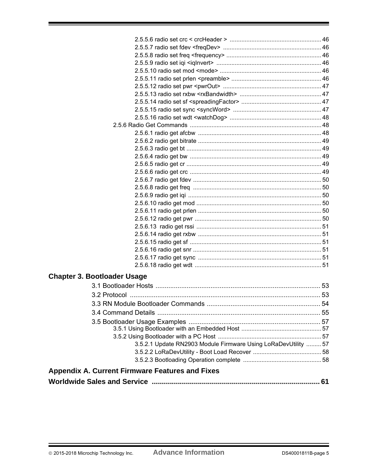| <b>Chapter 3. Bootloader Usage</b>                             |  |
|----------------------------------------------------------------|--|
|                                                                |  |
|                                                                |  |
|                                                                |  |
|                                                                |  |
|                                                                |  |
|                                                                |  |
|                                                                |  |
|                                                                |  |
| 3.5.2.1 Update RN2903 Module Firmware Using LoRaDevUtility  57 |  |
|                                                                |  |
|                                                                |  |
| <b>Appendix A. Current Firmware Features and Fixes</b>         |  |
|                                                                |  |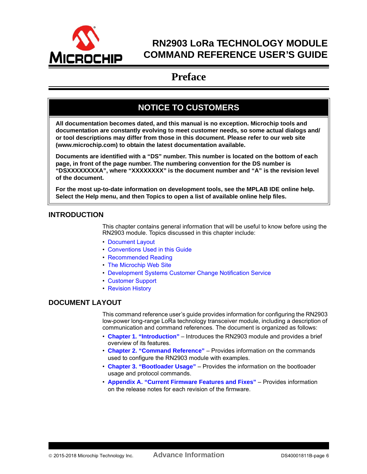<span id="page-5-0"></span>

# **RN2903 LoRa TECHNOLOGY MODULE COMMAND REFERENCE USER'S GUIDE**

# **Preface**

# **NOTICE TO CUSTOMERS**

**All documentation becomes dated, and this manual is no exception. Microchip tools and documentation are constantly evolving to meet customer needs, so some actual dialogs and/ or tool descriptions may differ from those in this document. Please refer to our web site (www.microchip.com) to obtain the latest documentation available.**

**Documents are identified with a "DS" number. This number is located on the bottom of each page, in front of the page number. The numbering convention for the DS number is "DSXXXXXXXXA", where "XXXXXXXX" is the document number and "A" is the revision level of the document.**

**For the most up-to-date information on development tools, see the MPLAB IDE online help. Select the Help menu, and then Topics to open a list of available online help files.**

# **INTRODUCTION**

This chapter contains general information that will be useful to know before using the RN2903 module. Topics discussed in this chapter include:

- [Document Layout](#page-5-1)
- [Conventions Used in this Guide](#page-6-0)
- [Recommended Reading](#page-7-0)
- [The Microchip Web Site](#page-7-1)
- [Development Systems Customer Change Notification Service](#page-8-0)
- [Customer Support](#page-8-1)
- [Revision History](#page-9-0)

# <span id="page-5-1"></span>**DOCUMENT LAYOUT**

This command reference user's guide provides information for configuring the RN2903 low-power long-range LoRa technology transceiver module, including a description of communication and command references. The document is organized as follows:

- **Chapter 1. "Introduction"** Introduces the RN2903 module and provides a brief overview of its features.
- **Chapter 2. "Command Reference"** Provides information on the commands used to configure the RN2903 module with examples.
- **Chapter 3. "Bootloader Usage"** Provides the information on the bootloader usage and protocol commands.
- **Appendix A. "Current Firmware Features and Fixes"** Provides information on the release notes for each revision of the firmware.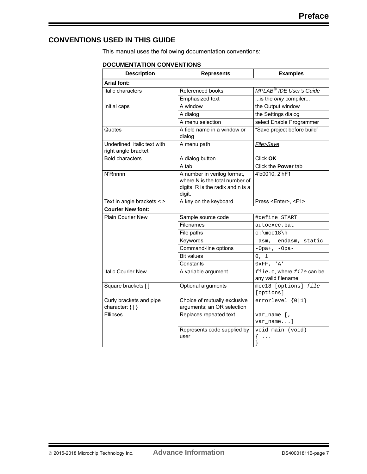# <span id="page-6-0"></span>**CONVENTIONS USED IN THIS GUIDE**

This manual uses the following documentation conventions:

#### **DOCUMENTATION CONVENTIONS**

| <b>Description</b>                                  | <b>Represents</b>                                                                                            | <b>Examples</b>                                 |
|-----------------------------------------------------|--------------------------------------------------------------------------------------------------------------|-------------------------------------------------|
| <b>Arial font:</b>                                  |                                                                                                              |                                                 |
| Italic characters                                   | Referenced books                                                                                             | MPLAB <sup>®</sup> IDE User's Guide             |
|                                                     | Emphasized text                                                                                              | is the only compiler                            |
| Initial caps                                        | A window                                                                                                     | the Output window                               |
|                                                     | A dialog                                                                                                     | the Settings dialog                             |
|                                                     | A menu selection                                                                                             | select Enable Programmer                        |
| Quotes                                              | A field name in a window or<br>dialog                                                                        | "Save project before build"                     |
| Underlined, italic text with<br>right angle bracket | A menu path                                                                                                  | File>Save                                       |
| <b>Bold characters</b>                              | A dialog button                                                                                              | Click OK                                        |
|                                                     | A tab                                                                                                        | Click the Power tab                             |
| N'Rnnnn                                             | A number in verilog format,<br>where N is the total number of<br>digits, R is the radix and n is a<br>digit. | 4'b0010, 2'hF1                                  |
| Text in angle brackets < >                          | A key on the keyboard                                                                                        | Press <enter>, <f1></f1></enter>                |
| <b>Courier New font:</b>                            |                                                                                                              |                                                 |
| <b>Plain Courier New</b>                            | Sample source code                                                                                           | #define START                                   |
|                                                     | Filenames                                                                                                    | autoexec.bat                                    |
|                                                     | File paths                                                                                                   | $c:\mcc18\nh$                                   |
|                                                     | Keywords                                                                                                     | _asm, _endasm, static                           |
|                                                     | Command-line options                                                                                         | $-Opa+, -Opa-$                                  |
|                                                     | <b>Bit values</b>                                                                                            | $0$ , $\;$ $1$                                  |
|                                                     | Constants                                                                                                    | 0xFF, 'A'                                       |
| <b>Italic Courier New</b>                           | A variable argument                                                                                          | file.o, where file can be<br>any valid filename |
| Square brackets []                                  | Optional arguments                                                                                           | mcc18 [options] file<br>[options]               |
| Curly brackets and pipe<br>character: $\{  \}$      | Choice of mutually exclusive<br>arguments; an OR selection                                                   | $errorlevel {0 1}$                              |
| Ellipses                                            | Replaces repeated text                                                                                       | var_name [,<br>var_name]                        |
|                                                     | Represents code supplied by<br>user                                                                          | void main (void)<br>₹<br>$\cdots$<br>ł          |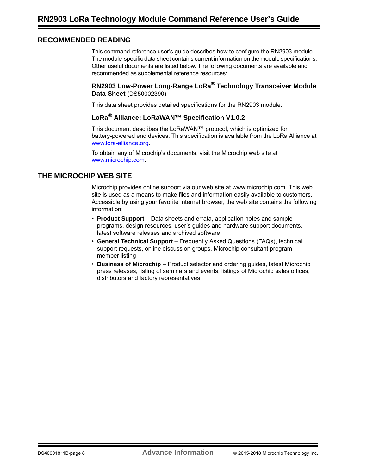# <span id="page-7-0"></span>**RECOMMENDED READING**

This command reference user's guide describes how to configure the RN2903 module. The module-specific data sheet contains current information on the module specifications. Other useful documents are listed below. The following documents are available and recommended as supplemental reference resources:

#### **RN2903 Low-Power Long-Range LoRa® Technology Transceiver Module Data Sheet** (DS50002390)

This data sheet provides detailed specifications for the RN2903 module.

# **LoRa® Alliance: LoRaWAN™ Specification V1.0.2**

This document describes the LoRaWAN™ protocol, which is optimized for battery-powered end devices. This specification is available from the LoRa Alliance at [www.lora-alliance.org.](http://lora-alliance.org/)

[To obtain any of Microchip's documents, visit the Microchip web site at](http://www.microchip.com)  www.microchip.com.

### <span id="page-7-1"></span>**THE MICROCHIP WEB SITE**

Microchip provides online support via our web site at www.microchip.com. This web site is used as a means to make files and information easily available to customers. Accessible by using your favorite Internet browser, the web site contains the following information:

- **Product Support** Data sheets and errata, application notes and sample programs, design resources, user's guides and hardware support documents, latest software releases and archived software
- **General Technical Support** Frequently Asked Questions (FAQs), technical support requests, online discussion groups, Microchip consultant program member listing
- **Business of Microchip** Product selector and ordering guides, latest Microchip press releases, listing of seminars and events, listings of Microchip sales offices, distributors and factory representatives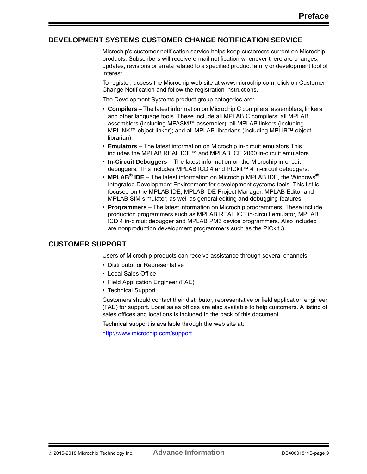# <span id="page-8-0"></span>**DEVELOPMENT SYSTEMS CUSTOMER CHANGE NOTIFICATION SERVICE**

Microchip's customer notification service helps keep customers current on Microchip products. Subscribers will receive e-mail notification whenever there are changes, updates, revisions or errata related to a specified product family or development tool of interest.

To register, access the Microchip web site at www.microchip.com, click on Customer Change Notification and follow the registration instructions.

The Development Systems product group categories are:

- **Compilers** The latest information on Microchip C compilers, assemblers, linkers and other language tools. These include all MPLAB C compilers; all MPLAB assemblers (including MPASM™ assembler); all MPLAB linkers (including MPLINK™ object linker); and all MPLAB librarians (including MPLIB™ object librarian).
- **Emulators** The latest information on Microchip in-circuit emulators.This includes the MPLAB REAL ICE™ and MPLAB ICE 2000 in-circuit emulators.
- **In-Circuit Debuggers** The latest information on the Microchip in-circuit debuggers. This includes MPLAB ICD 4 and PICkit™ 4 in-circuit debuggers.
- **MPLAB® IDE** The latest information on Microchip MPLAB IDE, the Windows**®** Integrated Development Environment for development systems tools. This list is focused on the MPLAB IDE, MPLAB IDE Project Manager, MPLAB Editor and MPLAB SIM simulator, as well as general editing and debugging features.
- **Programmers** The latest information on Microchip programmers. These include production programmers such as MPLAB REAL ICE in-circuit emulator, MPLAB ICD 4 in-circuit debugger and MPLAB PM3 device programmers. Also included are nonproduction development programmers such as the PICkit 3.

# <span id="page-8-1"></span>**CUSTOMER SUPPORT**

Users of Microchip products can receive assistance through several channels:

- Distributor or Representative
- Local Sales Office
- Field Application Engineer (FAE)
- Technical Support

Customers should contact their distributor, representative or field application engineer (FAE) for support. Local sales offices are also available to help customers. A listing of sales offices and locations is included in the back of this document.

Technical support is available through the web site at:

<http://www.microchip.com/support>.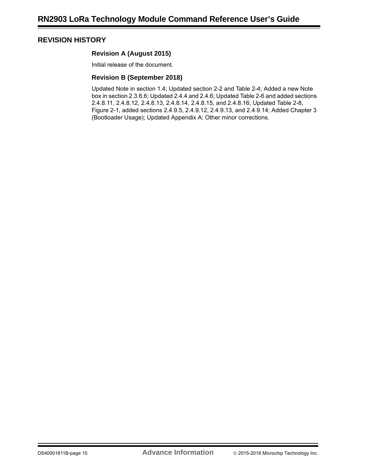# <span id="page-9-0"></span>**REVISION HISTORY**

### **Revision A (August 2015)**

Initial release of the document.

### **Revision B (September 2018)**

Updated Note in section 1.4; Updated section 2-2 and Table 2-4; Added a new Note box in section 2.3.6.6; Updated 2.4.4 and 2.4.6; Updated Table 2-6 and added sections 2.4.8.11, 2.4.8.12, 2.4.8.13, 2.4.8.14, 2.4.8.15, and 2.4.8.16; Updated Table 2-8, Figure 2-1, added sections 2.4.9.5, 2.4.9.12, 2.4.9.13, and 2.4.9.14; Added Chapter 3 (Bootloader Usage); Updated Appendix A; Other minor corrections.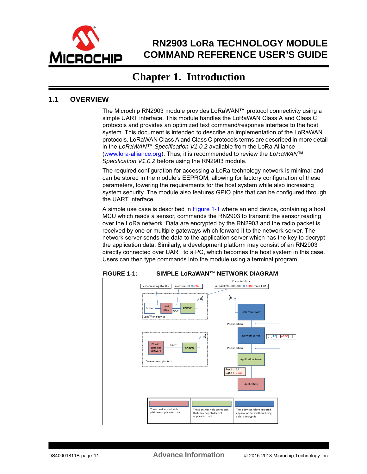

# **RN2903 LoRa TECHNOLOGY MODULE COMMAND REFERENCE USER'S GUIDE**

# **Chapter 1. Introduction**

# <span id="page-10-1"></span><span id="page-10-0"></span>**1.1 OVERVIEW**

The Microchip RN2903 module provides LoRaWAN™ protocol connectivity using a simple UART interface. This module handles the LoRaWAN Class A and Class C protocols and provides an optimized text command/response interface to the host system. This document is intended to describe an implementation of the LoRaWAN protocols. LoRaWAN Class A and Class C protocols terms are described in more detail in the *LoRaWAN*™ *Specification V1.0.2* available from the LoRa Alliance [\(www.lora-alliance.org](http://lora-alliance.org/)). Thus, it is recommended to review the *LoRaWAN*™ *Specification V1.0.2* before using the RN2903 module.

The required configuration for accessing a LoRa technology network is minimal and can be stored in the module's EEPROM, allowing for factory configuration of these parameters, lowering the requirements for the host system while also increasing system security. The module also features GPIO pins that can be configured through the UART interface.

A simple use case is described in [Figure 1-1](#page-10-2) where an end device, containing a host MCU which reads a sensor, commands the RN2903 to transmit the sensor reading over the LoRa network. Data are encrypted by the RN2903 and the radio packet is received by one or multiple gateways which forward it to the network server. The network server sends the data to the application server which has the key to decrypt the application data. Similarly, a development platform may consist of an RN2903 directly connected over UART to a PC, which becomes the host system in this case. Users can then type commands into the module using a terminal program.

#### <span id="page-10-2"></span>**FIGURE 1-1: SIMPLE LoRaWAN™ NETWORK DIAGRAM**

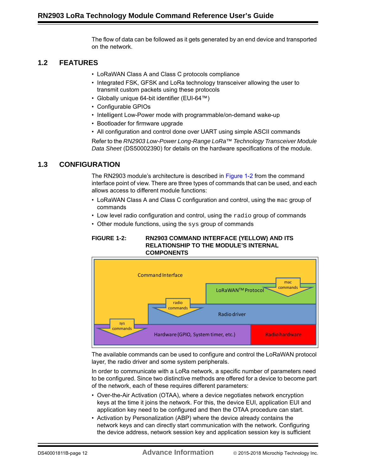The flow of data can be followed as it gets generated by an end device and transported on the network.

# <span id="page-11-0"></span>**1.2 FEATURES**

- LoRaWAN Class A and Class C protocols compliance
- Integrated FSK, GFSK and LoRa technology transceiver allowing the user to transmit custom packets using these protocols
- Globally unique 64-bit identifier (EUI-64™)
- Configurable GPIOs
- Intelligent Low-Power mode with programmable/on-demand wake-up
- Bootloader for firmware upgrade
- All configuration and control done over UART using simple ASCII commands

Refer to the *RN2903 Low-Power Long-Range LoRa™ Technology Transceiver Module Data Sheet* (DS50002390) for details on the hardware specifications of the module.

# <span id="page-11-1"></span>**1.3 CONFIGURATION**

The RN2903 module's architecture is described in [Figure 1-2](#page-11-2) from the command interface point of view. There are three types of commands that can be used, and each allows access to different module functions:

- LoRaWAN Class A and Class C configuration and control, using the mac group of commands
- Low level radio configuration and control, using the radio group of commands
- Other module functions, using the  $sys$  group of commands

#### <span id="page-11-2"></span>**FIGURE 1-2: RN2903 COMMAND INTERFACE (YELLOW) AND ITS RELATIONSHIP TO THE MODULE'S INTERNAL COMPONENTS**



The available commands can be used to configure and control the LoRaWAN protocol layer, the radio driver and some system peripherals.

In order to communicate with a LoRa network, a specific number of parameters need to be configured. Since two distinctive methods are offered for a device to become part of the network, each of these requires different parameters:

- Over-the-Air Activation (OTAA), where a device negotiates network encryption keys at the time it joins the network. For this, the device EUI, application EUI and application key need to be configured and then the OTAA procedure can start.
- Activation by Personalization (ABP) where the device already contains the network keys and can directly start communication with the network. Configuring the device address, network session key and application session key is sufficient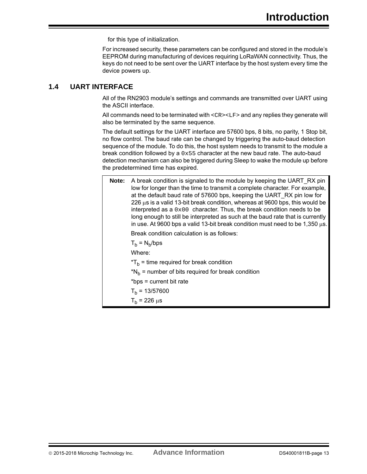for this type of initialization.

For increased security, these parameters can be configured and stored in the module's EEPROM during manufacturing of devices requiring LoRaWAN connectivity. Thus, the keys do not need to be sent over the UART interface by the host system every time the device powers up.

# <span id="page-12-0"></span>**1.4 UART INTERFACE**

All of the RN2903 module's settings and commands are transmitted over UART using the ASCII interface.

All commands need to be terminated with <CR><LF> and any replies they generate will also be terminated by the same sequence.

The default settings for the UART interface are 57600 bps, 8 bits, no parity, 1 Stop bit, no flow control. The baud rate can be changed by triggering the auto-baud detection sequence of the module. To do this, the host system needs to transmit to the module a break condition followed by a  $0x55$  character at the new baud rate. The auto-baud detection mechanism can also be triggered during Sleep to wake the module up before the predetermined time has expired.

| Note: | A break condition is signaled to the module by keeping the UART RX pin<br>low for longer than the time to transmit a complete character. For example,<br>at the default baud rate of 57600 bps, keeping the UART RX pin low for<br>226 $\mu$ s is a valid 13-bit break condition, whereas at 9600 bps, this would be<br>interpreted as a $0x00$ character. Thus, the break condition needs to be<br>long enough to still be interpreted as such at the baud rate that is currently<br>in use. At 9600 bps a valid 13-bit break condition must need to be 1,350 $\mu$ s. |
|-------|-------------------------------------------------------------------------------------------------------------------------------------------------------------------------------------------------------------------------------------------------------------------------------------------------------------------------------------------------------------------------------------------------------------------------------------------------------------------------------------------------------------------------------------------------------------------------|
|       | Break condition calculation is as follows:                                                                                                                                                                                                                                                                                                                                                                                                                                                                                                                              |
|       | $T_h = N_h/bps$                                                                                                                                                                                                                                                                                                                                                                                                                                                                                                                                                         |
|       | Where:                                                                                                                                                                                                                                                                                                                                                                                                                                                                                                                                                                  |
|       | $Tb$ = time required for break condition                                                                                                                                                                                                                                                                                                                                                                                                                                                                                                                                |
|       | $N_h$ = number of bits required for break condition                                                                                                                                                                                                                                                                                                                                                                                                                                                                                                                     |
|       | *bps = current bit rate                                                                                                                                                                                                                                                                                                                                                                                                                                                                                                                                                 |
|       | $T_h$ = 13/57600                                                                                                                                                                                                                                                                                                                                                                                                                                                                                                                                                        |
|       | $T_h$ = 226 $\mu$ s                                                                                                                                                                                                                                                                                                                                                                                                                                                                                                                                                     |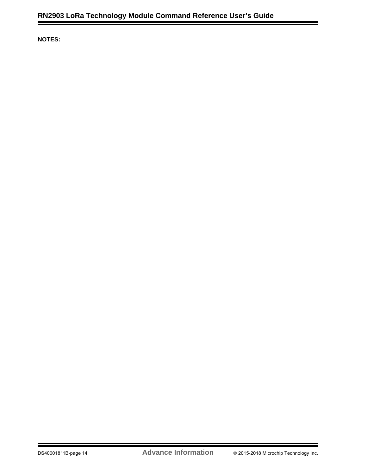**NOTES:**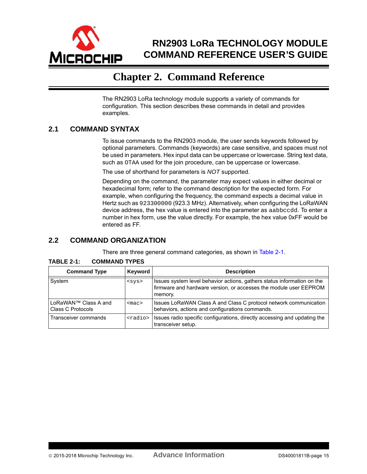<span id="page-14-0"></span>

# **RN2903 LoRa TECHNOLOGY MODULE COMMAND REFERENCE USER'S GUIDE**

# **Chapter 2. Command Reference**

The RN2903 LoRa technology module supports a variety of commands for configuration. This section describes these commands in detail and provides examples.

# <span id="page-14-1"></span>**2.1 COMMAND SYNTAX**

To issue commands to the RN2903 module, the user sends keywords followed by optional parameters. Commands (keywords) are case sensitive, and spaces must not be used in parameters. Hex input data can be uppercase or lowercase. String text data, such as OTAA used for the join procedure, can be uppercase or lowercase.

The use of shorthand for parameters is *NOT* supported.

Depending on the command, the parameter may expect values in either decimal or hexadecimal form; refer to the command description for the expected form. For example, when configuring the frequency, the command expects a decimal value in Hertz such as 923300000 (923.3 MHz). Alternatively, when configuring the LoRaWAN device address, the hex value is entered into the parameter as aabbccdd. To enter a number in hex form, use the value directly. For example, the hex value 0xFF would be entered as FF.

### <span id="page-14-2"></span>**2.2 COMMAND ORGANIZATION**

There are three general command categories, as shown in [Table 2-1.](#page-14-3)

| <b>Command Type</b>                       | Keyword         | <b>Description</b>                                                                                                                                      |
|-------------------------------------------|-----------------|---------------------------------------------------------------------------------------------------------------------------------------------------------|
| System                                    | $<$ sys>        | Issues system level behavior actions, gathers status information on the<br>firmware and hardware version, or accesses the module user EEPROM<br>memory. |
| LoRaWAN™ Class A and<br>Class C Protocols | $<$ mac $>$     | Issues LoRaWAN Class A and Class C protocol network communication<br>behaviors, actions and configurations commands.                                    |
| Transceiver commands                      | <radio></radio> | Issues radio specific configurations, directly accessing and updating the<br>transceiver setup.                                                         |

#### <span id="page-14-3"></span>**TABLE 2-1: COMMAND TYPES**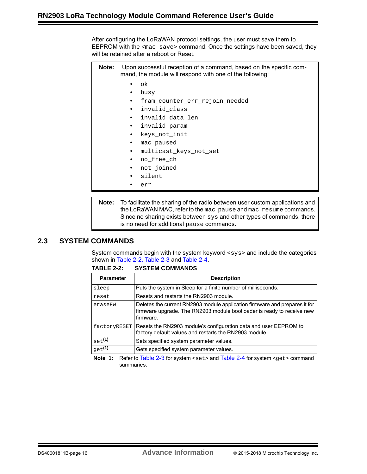After configuring the LoRaWAN protocol settings, the user must save them to EEPROM with the  $\epsilon_{\text{mac}}$  save> command. Once the settings have been saved, they will be retained after a reboot or Reset.

| Note: | Upon successful reception of a command, based on the specific com-<br>mand, the module will respond with one of the following: |                                |  |
|-------|--------------------------------------------------------------------------------------------------------------------------------|--------------------------------|--|
|       |                                                                                                                                | ok.                            |  |
|       |                                                                                                                                | busy                           |  |
|       |                                                                                                                                | fram counter err rejoin needed |  |
|       | $\bullet$                                                                                                                      | invalid_class                  |  |
|       |                                                                                                                                | invalid data len               |  |
|       | $\bullet$                                                                                                                      | invalid param                  |  |
|       | $\bullet$                                                                                                                      | keys not init                  |  |
|       | ٠                                                                                                                              | mac paused                     |  |
|       | ٠                                                                                                                              | multicast keys not set         |  |
|       | ٠                                                                                                                              | no free ch                     |  |
|       | $\bullet$                                                                                                                      | not joined                     |  |
|       | $\bullet$                                                                                                                      | silent                         |  |
|       |                                                                                                                                | err                            |  |
|       |                                                                                                                                |                                |  |

**Note:** To facilitate the sharing of the radio between user custom applications and the LoRaWAN MAC, refer to the mac pause and mac resume commands. Since no sharing exists between sys and other types of commands, there is no need for additional pause commands.

# <span id="page-15-0"></span>**2.3 SYSTEM COMMANDS**

System commands begin with the system keyword <sys> and include the categories shown in [Table 2-2](#page-15-1), [Table 2-3](#page-17-3) and [Table 2-4](#page-18-4).

| <b>Parameter</b> | <b>Description</b>                                                                                                                                                |
|------------------|-------------------------------------------------------------------------------------------------------------------------------------------------------------------|
| sleep            | Puts the system in Sleep for a finite number of milliseconds.                                                                                                     |
| reset            | Resets and restarts the RN2903 module.                                                                                                                            |
| eraseFW          | Deletes the current RN2903 module application firmware and prepares it for<br>firmware upgrade. The RN2903 module bootloader is ready to receive new<br>firmware. |
| factoryRESET     | Resets the RN2903 module's configuration data and user EEPROM to<br>factory default values and restarts the RN2903 module.                                        |
| $_{\rm set}$ (1) | Sets specified system parameter values.                                                                                                                           |
| $_{\rm qet}$ (1) | Gets specified system parameter values.                                                                                                                           |

<span id="page-15-1"></span>**TABLE 2-2: SYSTEM COMMANDS**

**Note 1:** Refer to [Table 2-3](#page-17-3) for system <set> and [Table 2-4](#page-18-4) for system <get > command summaries.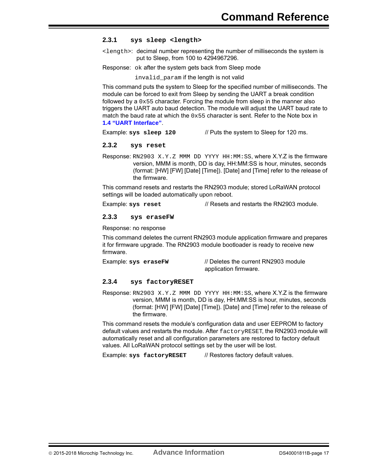#### <span id="page-16-0"></span>**2.3.1 sys sleep <length>**

<length>: decimal number representing the number of milliseconds the system is put to Sleep, from 100 to 4294967296.

Response: ok after the system gets back from Sleep mode

invalid param if the length is not valid

This command puts the system to Sleep for the specified number of milliseconds. The module can be forced to exit from Sleep by sending the UART a break condition followed by a  $0 \times 55$  character. Forcing the module from sleep in the manner also triggers the UART auto baud detection. The module will adjust the UART baud rate to match the baud rate at which the  $0 \times 55$  character is sent. Refer to the Note box in **1.4 "UART Interface"**.

Example: **sys sleep 120** // Puts the system to Sleep for 120 ms.

#### <span id="page-16-1"></span>**2.3.2 sys reset**

Response: RN2903 X.Y.Z MMM DD YYYY HH:MM:SS, where X.Y.Z is the firmware version, MMM is month, DD is day, HH:MM:SS is hour, minutes, seconds (format: [HW] [FW] [Date] [Time]). [Date] and [Time] refer to the release of the firmware.

This command resets and restarts the RN2903 module; stored LoRaWAN protocol settings will be loaded automatically upon reboot.

Example: sys reset **// Resets** and restarts the RN2903 module.

### <span id="page-16-2"></span>**2.3.3 sys eraseFW**

Response: no response

This command deletes the current RN2903 module application firmware and prepares it for firmware upgrade. The RN2903 module bootloader is ready to receive new firmware.

Example: **sys eraseFW** // Deletes the current RN2903 module application firmware.

#### <span id="page-16-3"></span>**2.3.4 sys factoryRESET**

Response: RN2903 X.Y.Z MMM DD YYYY HH: MM: SS, where X.Y.Z is the firmware version, MMM is month, DD is day, HH:MM:SS is hour, minutes, seconds (format: [HW] [FW] [Date] [Time]). [Date] and [Time] refer to the release of the firmware.

This command resets the module's configuration data and user EEPROM to factory default values and restarts the module. After factoryRESET, the RN2903 module will automatically reset and all configuration parameters are restored to factory default values. All LoRaWAN protocol settings set by the user will be lost.

Example: sys factoryRESET // Restores factory default values.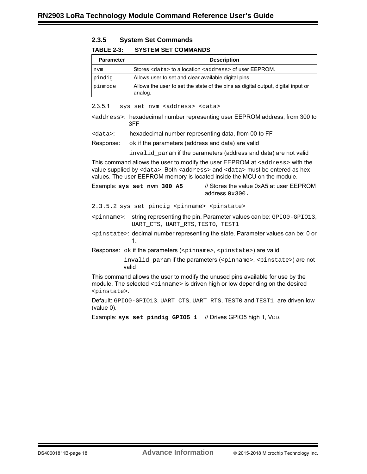<span id="page-17-0"></span>

| <b>System Set Commands</b> |
|----------------------------|
|                            |

#### <span id="page-17-3"></span>**TABLE 2-3: SYSTEM SET COMMANDS**

| <b>Parameter</b> | <b>Description</b>                                                                          |
|------------------|---------------------------------------------------------------------------------------------|
| nvm              | Stores <data> to a location <address> of user EEPROM.</address></data>                      |
| pindig           | Allows user to set and clear available digital pins.                                        |
| pinmode          | Allows the user to set the state of the pins as digital output, digital input or<br>analog. |

<span id="page-17-1"></span>2.3.5.1 sys set nvm <address> <data>

- <address>: hexadecimal number representing user EEPROM address, from 300 to 3FF
- <data>: hexadecimal number representing data, from 00 to FF
- Response:  $\sigma_{\rm ok}$  if the parameters (address and data) are valid

invalid param if the parameters (address and data) are not valid

This command allows the user to modify the user EEPROM at <address> with the value supplied by <data>. Both <address> and <data> must be entered as hex values. The user EEPROM memory is located inside the MCU on the module.

Example: **sys set nvm 300 A5** // Stores the value 0xA5 at user EEPROM address 0x300.

<span id="page-17-2"></span>2.3.5.2 sys set pindig <pinname> <pinstate>

<pinname>: string representing the pin. Parameter values can be: GPIO0-GPIO13, UART\_CTS, UART\_RTS, TEST0, TEST1

<pinstate>: decimal number representing the state. Parameter values can be: 0 or 1.

Response: ok if the parameters (<pinname>, <pinstate>) are valid

invalid\_param if the parameters (<pinname>, <pinstate>) are not valid

This command allows the user to modify the unused pins available for use by the module. The selected <pinname> is driven high or low depending on the desired <pinstate>.

Default: GPIO0-GPIO13, UART\_CTS, UART\_RTS, TEST0 and TEST1 are driven low (value 0).

Example: **sys set pindig GPIO5 1** // Drives GPIO5 high 1, VDD.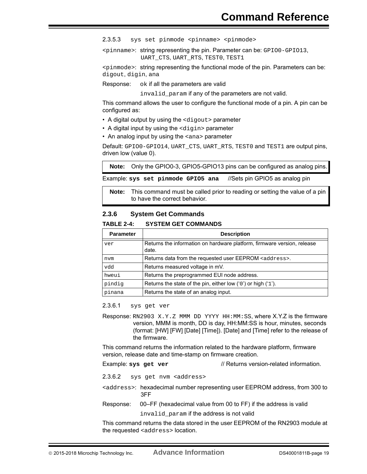<span id="page-18-0"></span>2.3.5.3 sys set pinmode <pinname> <pinmode>

<pinname>: string representing the pin. Parameter can be: GPIO0-GPIO13, UART\_CTS, UART\_RTS, TEST0, TEST1

<pinmode>: string representing the functional mode of the pin. Parameters can be: digout, digin, ana

Response: ok if all the parameters are valid

invalid param if any of the parameters are not valid.

This command allows the user to configure the functional mode of a pin. A pin can be configured as:

- A digital output by using the <digout> parameter
- A digital input by using the <digin> parameter
- An analog input by using the sana > parameter

Default: GPIO0-GPIO14, UART CTS, UART RTS, TEST0 and TEST1 are output pins, driven low (value 0).

**Note:** Only the GPIO0-3, GPIO5-GPIO13 pins can be configured as analog pins.

Example: **sys set pinmode GPIO5 ana** //Sets pin GPIO5 as analog pin

**Note:** This command must be called prior to reading or setting the value of a pin to have the correct behavior.

#### <span id="page-18-1"></span>**2.3.6 System Get Commands**

#### <span id="page-18-4"></span>**TABLE 2-4: SYSTEM GET COMMANDS**

| <b>Parameter</b> | <b>Description</b>                                                               |
|------------------|----------------------------------------------------------------------------------|
| ver              | Returns the information on hardware platform, firmware version, release<br>date. |
| nvm              | Returns data from the requested user EEPROM <address>.</address>                 |
| vdd              | Returns measured voltage in mV.                                                  |
| hweui            | Returns the preprogrammed EUI node address.                                      |
| pindig           | Returns the state of the pin, either low $(0)$ or high $(1)$ .                   |
| pinana           | Returns the state of an analog input.                                            |

<span id="page-18-2"></span>2.3.6.1 sys get ver

Response: RN2903 X.Y.Z MMM DD YYYY HH:MM:SS, where X.Y.Z is the firmware version, MMM is month, DD is day, HH:MM:SS is hour, minutes, seconds (format: [HW] [FW] [Date] [Time]). [Date] and [Time] refer to the release of the firmware.

This command returns the information related to the hardware platform, firmware version, release date and time-stamp on firmware creation.

Example: **sys get ver** // Returns version-related information.

<span id="page-18-3"></span>2.3.6.2 sys get nvm <address>

- <address>: hexadecimal number representing user EEPROM address, from 300 to 3FF
- Response: 00–FF (hexadecimal value from 00 to FF) if the address is valid invalid\_param if the address is not valid

This command returns the data stored in the user EEPROM of the RN2903 module at the requested <address> location.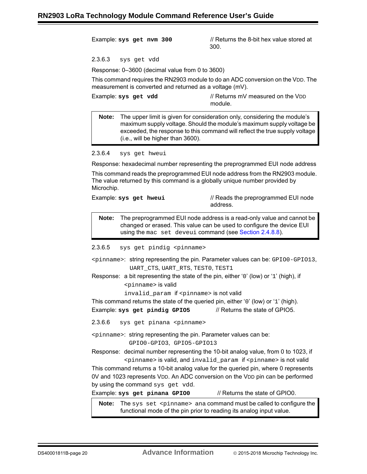Example: **sys get nvm 300** // Returns the 8-bit hex value stored at 300.

<span id="page-19-0"></span>2.3.6.3 sys get vdd

Response: 0–3600 (decimal value from 0 to 3600)

This command requires the RN2903 module to do an ADC conversion on the VDD. The measurement is converted and returned as a voltage (mV).

| Example: sys get vdd | // Returns mV measured on the VDD |
|----------------------|-----------------------------------|
|                      | module.                           |

**Note:** The upper limit is given for consideration only, considering the module's maximum supply voltage. Should the module's maximum supply voltage be exceeded, the response to this command will reflect the true supply voltage (i.e., will be higher than 3600).

<span id="page-19-1"></span>2.3.6.4 sys get hweui

Response: hexadecimal number representing the preprogrammed EUI node address

This command reads the preprogrammed EUI node address from the RN2903 module. The value returned by this command is a globally unique number provided by Microchip.

| Example: sys get hweui | // Reads the preprogrammed EUI node<br>address. |
|------------------------|-------------------------------------------------|
|                        |                                                 |

**Note:** The preprogrammed EUI node address is a read-only value and cannot be changed or erased. This value can be used to configure the device EUI using the mac set deveui command (see Section [2.4.8.8\)](#page-28-1).

<span id="page-19-2"></span>2.3.6.5 sys get pindig <pinname>

- <pinname>: string representing the pin. Parameter values can be: GPIO0-GPIO13, UART\_CTS, UART\_RTS, TEST0, TEST1
- Response: a bit representing the state of the pin, either '0' (low) or '1' (high), if <pinname> is valid

invalid\_param if <pinname> is not valid

This command returns the state of the queried pin, either '0' (low) or '1' (high).

Example: **sys** get pindig GPIO5 // Returns the state of GPIO5.

<span id="page-19-3"></span>2.3.6.6 sys get pinana <pinname>

<pinname>: string representing the pin. Parameter values can be:

GPIO0-GPIO3, GPIO5-GPIO13

Response: decimal number representing the 10-bit analog value, from 0 to 1023, if <pinname> is valid, and invalid\_param if <pinname> is not valid

This command returns a 10-bit analog value for the queried pin, where 0 represents 0V and 1023 represents VDD. An ADC conversion on the VDD pin can be performed by using the command sys get vdd.

Example: **sys get pinana GPIO0** // Returns the state of GPIO0.

**Note:** The sys set <pinname> ana command must be called to configure the functional mode of the pin prior to reading its analog input value.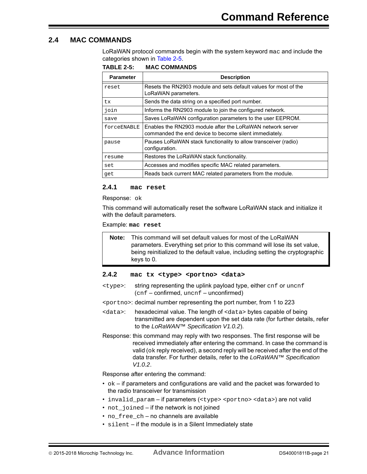### <span id="page-20-0"></span>**2.4 MAC COMMANDS**

LoRaWAN protocol commands begin with the system keyword mac and include the categories shown in [Table 2-5](#page-20-3).

<span id="page-20-3"></span>**TABLE 2-5: MAC COMMANDS**

| <b>Parameter</b> | <b>Description</b>                                                                                                   |
|------------------|----------------------------------------------------------------------------------------------------------------------|
| reset            | Resets the RN2903 module and sets default values for most of the<br>LoRaWAN parameters.                              |
| tx.              | Sends the data string on a specified port number.                                                                    |
| join             | Informs the RN2903 module to join the configured network.                                                            |
| save             | Saves LoRaWAN configuration parameters to the user EEPROM.                                                           |
| forceENABLE      | Enables the RN2903 module after the LoRaWAN network server<br>commanded the end device to become silent immediately. |
| pause            | Pauses LoRaWAN stack functionality to allow transceiver (radio)<br>configuration.                                    |
| resume           | Restores the LoRaWAN stack functionality.                                                                            |
| set              | Accesses and modifies specific MAC related parameters.                                                               |
| qet              | Reads back current MAC related parameters from the module.                                                           |

#### <span id="page-20-1"></span>**2.4.1 mac reset**

Response: ok

This command will automatically reset the software LoRaWAN stack and initialize it with the default parameters.

Example: **mac reset**

**Note:** This command will set default values for most of the LoRaWAN parameters. Everything set prior to this command will lose its set value, being reinitialized to the default value, including setting the cryptographic keys to 0.

#### <span id="page-20-2"></span>**2.4.2 mac tx <type> <portno> <data>**

- <type>: string representing the uplink payload type, either cnf or uncnf (cnf – confirmed, uncnf – unconfirmed)
- <portno>: decimal number representing the port number, from 1 to 223
- <data>: hexadecimal value. The length of <data> bytes capable of being transmitted are dependent upon the set data rate (for further details, refer to the *LoRaWAN™ Specification V1.0.2*).
- Response: this command may reply with two responses. The first response will be received immediately after entering the command. In case the command is valid (ok reply received), a second reply will be received after the end of the data transfer. For further details, refer to the *LoRaWAN™ Specification V1.0.2*.

Response after entering the command:

- $\circ$   $\circ$  if parameters and configurations are valid and the packet was forwarded to the radio transceiver for transmission
- invalid param if parameters (<type> <portno> <data>) are not valid
- not\_joined if the network is not joined
- no\_free\_ch no channels are available
- silent if the module is in a Silent Immediately state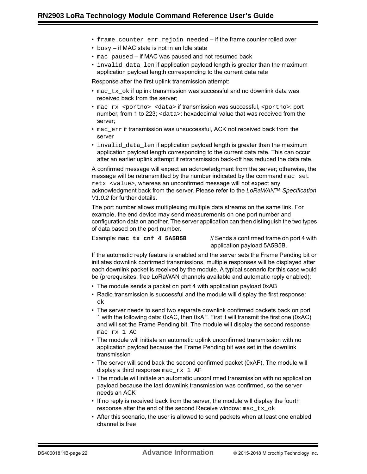- frame\_counter\_err\_rejoin\_needed if the frame counter rolled over
- busy if MAC state is not in an Idle state
- mac\_paused if MAC was paused and not resumed back
- invalid data len if application payload length is greater than the maximum application payload length corresponding to the current data rate

Response after the first uplink transmission attempt:

- $\text{mac\_tx\_ok}$  if uplink transmission was successful and no downlink data was received back from the server;
- mac\_rx <portno> <data> if transmission was successful, <portno>: port number, from 1 to 223; <data>: hexadecimal value that was received from the server;
- mac err if transmission was unsuccessful, ACK not received back from the server
- invalid\_data\_len if application payload length is greater than the maximum application payload length corresponding to the current data rate. This can occur after an earlier uplink attempt if retransmission back-off has reduced the data rate.

A confirmed message will expect an acknowledgment from the server; otherwise, the message will be retransmitted by the number indicated by the command mac set retx <value>, whereas an unconfirmed message will not expect any acknowledgment back from the server. Please refer to the *LoRaWAN™ Specification V1.0.2* for further details.

The port number allows multiplexing multiple data streams on the same link. For example, the end device may send measurements on one port number and configuration data on another. The server application can then distinguish the two types of data based on the port number.

Example: **mac tx cnf 4 5A5B5B** // Sends a confirmed frame on port 4 with application payload 5A5B5B.

If the automatic reply feature is enabled and the server sets the Frame Pending bit or initiates downlink confirmed transmissions, multiple responses will be displayed after each downlink packet is received by the module. A typical scenario for this case would be (prerequisites: free LoRaWAN channels available and automatic reply enabled):

- The module sends a packet on port 4 with application payload 0xAB
- Radio transmission is successful and the module will display the first response: ok
- The server needs to send two separate downlink confirmed packets back on port 1 with the following data: 0xAC, then 0xAF. First it will transmit the first one (0xAC) and will set the Frame Pending bit. The module will display the second response mac\_rx 1 AC
- The module will initiate an automatic uplink unconfirmed transmission with no application payload because the Frame Pending bit was set in the downlink transmission
- The server will send back the second confirmed packet (0xAF). The module will display a third response mac\_rx  $1$  AF
- The module will initiate an automatic unconfirmed transmission with no application payload because the last downlink transmission was confirmed, so the server needs an ACK
- If no reply is received back from the server, the module will display the fourth response after the end of the second Receive window: mac\_tx\_ok
- After this scenario, the user is allowed to send packets when at least one enabled channel is free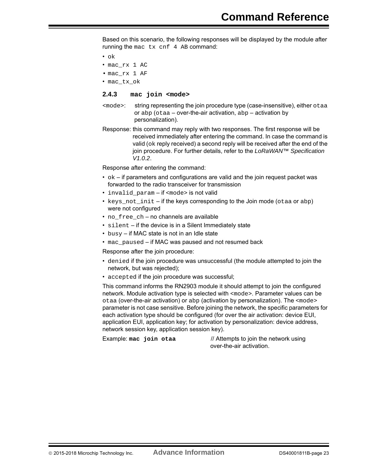Based on this scenario, the following responses will be displayed by the module after running the mac tx cnf 4 AB command:

- ok
- mac\_rx 1 AC
- mac\_rx 1 AF
- mac\_tx\_ok

#### <span id="page-22-0"></span>**2.4.3 mac join <mode>**

- <mode>: string representing the join procedure type (case-insensitive), either otaa or  $abp$  (otaa – over-the-air activation,  $abp -$  activation by personalization).
- Response: this command may reply with two responses. The first response will be received immediately after entering the command. In case the command is valid ( $\circ$ k reply received) a second reply will be received after the end of the join procedure. For further details, refer to the *LoRaWAN™ Specification V1.0.2*.

Response after entering the command:

- $\bullet$  ok if parameters and configurations are valid and the join request packet was forwarded to the radio transceiver for transmission
- invalid param if <mode> is not valid
- keys not  $init if$  the keys corresponding to the Join mode (otaa or abp) were not configured
- no\_free\_ch no channels are available
- silent if the device is in a Silent Immediately state
- busy if MAC state is not in an Idle state
- mac\_paused if MAC was paused and not resumed back

Response after the join procedure:

- denied if the join procedure was unsuccessful (the module attempted to join the network, but was rejected);
- accepted if the join procedure was successful;

This command informs the RN2903 module it should attempt to join the configured network. Module activation type is selected with <mode>. Parameter values can be otaa (over-the-air activation) or abp (activation by personalization). The <mode> parameter is not case sensitive. Before joining the network, the specific parameters for each activation type should be configured (for over the air activation: device EUI, application EUI, application key; for activation by personalization: device address, network session key, application session key).

Example: mac join otaa **// Attempts to join the network using** over-the-air activation.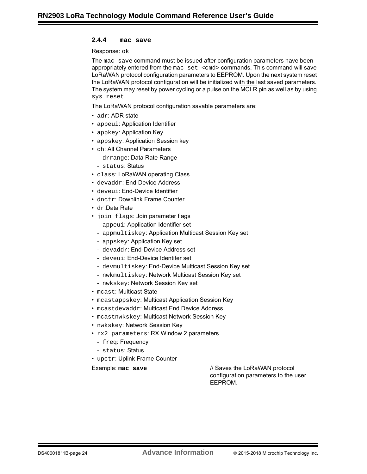#### <span id="page-23-0"></span>**2.4.4 mac save**

Response: ok

The mac save command must be issued after configuration parameters have been appropriately entered from the mac set <cmd> commands. This command will save LoRaWAN protocol configuration parameters to EEPROM. Upon the next system reset the LoRaWAN protocol configuration will be initialized with the last saved parameters. The system may reset by power cycling or a pulse on the MCLR pin as well as by using sys reset.

The LoRaWAN protocol configuration savable parameters are:

- adr: ADR state
- appeui: Application Identifier
- appkey: Application Key
- appskey: Application Session key
- ch: All Channel Parameters
	- drrange: Data Rate Range
	- status: Status
- class: LoRaWAN operating Class
- devaddr: End-Device Address
- deveui: End-Device Identifier
- dnctr: Downlink Frame Counter
- dr:Data Rate
- join flags: Join parameter flags
	- appeui: Application Identifier set
	- appmultiskey: Application Multicast Session Key set
	- appskey: Application Key set
	- devaddr: End-Device Address set
	- deveui: End-Device Identifer set
	- devmultiskey: End-Device Multicast Session Key set
	- nwkmultiskey: Network Multicast Session Key set
	- nwkskey: Network Session Key set
- mcast: Multicast State
- mcastappskey: Multicast Application Session Key
- mcastdevaddr: Multicast End Device Address
- mcastnwkskey: Multicast Network Session Key
- nwkskey: Network Session Key
- rx2 parameters: RX Window 2 parameters
- freq: Frequency
- status: Status
- upctr: Uplink Frame Counter

Example: mac save *MI* Saves the LoRaWAN protocol configuration parameters to the user EEPROM.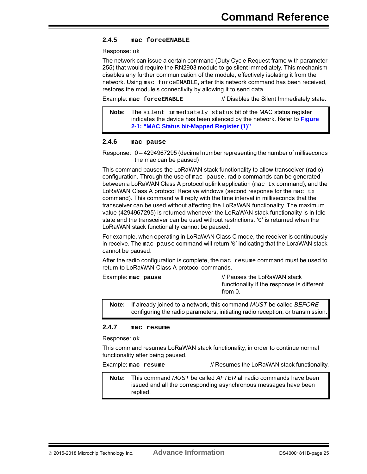#### <span id="page-24-0"></span>**2.4.5 mac forceENABLE**

Response: ok

The network can issue a certain command (Duty Cycle Request frame with parameter 255) that would require the RN2903 module to go silent immediately. This mechanism disables any further communication of the module, effectively isolating it from the network. Using mac forceENABLE, after this network command has been received, restores the module's connectivity by allowing it to send data.

Example: **mac forceENABLE** // Disables the Silent Immediately state.

**Note:** The silent immediately status bit of the MAC status register indicates the device has been silenced by the network. Refer to **[Figure](#page-40-0)  [2-1: "MAC Status bit-Mapped Register \(1\)"](#page-40-0)**

#### <span id="page-24-1"></span>**2.4.6 mac pause**

Response: 0 – 4294967295 (decimal number representing the number of milliseconds the mac can be paused)

This command pauses the LoRaWAN stack functionality to allow transceiver (radio) configuration. Through the use of mac pause, radio commands can be generated between a LoRaWAN Class A protocol uplink application ( $_{\text{mac tx}}$  command), and the LoRaWAN Class A protocol Receive windows (second response for the  $mac$  tx command). This command will reply with the time interval in milliseconds that the transceiver can be used without affecting the LoRaWAN functionality. The maximum value (4294967295) is returned whenever the LoRaWAN stack functionality is in Idle state and the transceiver can be used without restrictions. '0' is returned when the LoRaWAN stack functionality cannot be paused.

For example, when operating in LoRaWAN Class C mode, the receiver is continuously in receive. The mac pause command will return '0' indicating that the LoraWAN stack cannot be paused.

After the radio configuration is complete, the mac resume command must be used to return to LoRaWAN Class A protocol commands.

| Example: mac pause | // Pauses the LoRaWAN stack<br>functionality if the response is different |
|--------------------|---------------------------------------------------------------------------|
|                    | from 0.                                                                   |

**Note:** If already joined to a network, this command *MUST* be called *BEFORE* configuring the radio parameters, initiating radio reception, or transmission.

#### <span id="page-24-2"></span>**2.4.7 mac resume**

Response: ok

This command resumes LoRaWAN stack functionality, in order to continue normal functionality after being paused.

Example: **mac resume** // Resumes the LoRaWAN stack functionality.

**Note:** This command *MUST* be called *AFTER* all radio commands have been issued and all the corresponding asynchronous messages have been replied.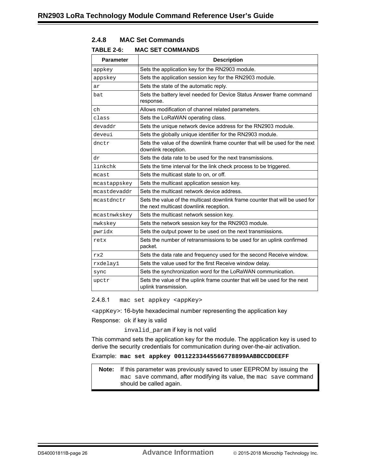<span id="page-25-0"></span>

| 2.4.8 |  | <b>MAC Set Commands</b> |
|-------|--|-------------------------|
|-------|--|-------------------------|

#### **TABLE 2-6: MAC SET COMMANDS**

| <b>Parameter</b> | <b>Description</b>                                                                                                     |
|------------------|------------------------------------------------------------------------------------------------------------------------|
| appkey           | Sets the application key for the RN2903 module.                                                                        |
| appskey          | Sets the application session key for the RN2903 module.                                                                |
| ar               | Sets the state of the automatic reply.                                                                                 |
| bat              | Sets the battery level needed for Device Status Answer frame command<br>response.                                      |
| ch               | Allows modification of channel related parameters.                                                                     |
| class            | Sets the LoRaWAN operating class.                                                                                      |
| devaddr          | Sets the unique network device address for the RN2903 module.                                                          |
| deveui           | Sets the globally unique identifier for the RN2903 module.                                                             |
| dnctr            | Sets the value of the downlink frame counter that will be used for the next<br>downlink reception.                     |
| dr               | Sets the data rate to be used for the next transmissions.                                                              |
| linkchk          | Sets the time interval for the link check process to be triggered.                                                     |
| mcast            | Sets the multicast state to on, or off.                                                                                |
| mcastappskey     | Sets the multicast application session key.                                                                            |
| mcastdevaddr     | Sets the multicast network device address.                                                                             |
| mcastdnctr       | Sets the value of the multicast downlink frame counter that will be used for<br>the next multicast downlink reception. |
| mcastnwkskey     | Sets the multicast network session key.                                                                                |
| nwkskey          | Sets the network session key for the RN2903 module.                                                                    |
| pwridx           | Sets the output power to be used on the next transmissions.                                                            |
| retx             | Sets the number of retransmissions to be used for an uplink confirmed<br>packet.                                       |
| rx2              | Sets the data rate and frequency used for the second Receive window.                                                   |
| rxdelay1         | Sets the value used for the first Receive window delay.                                                                |
| sync             | Sets the synchronization word for the LoRaWAN communication.                                                           |
| upctr            | Sets the value of the uplink frame counter that will be used for the next<br>uplink transmission.                      |

<span id="page-25-1"></span>2.4.8.1 mac set appkey <appKey>

<appKey>: 16-byte hexadecimal number representing the application key

Response: ok if key is valid

invalid\_param if key is not valid

This command sets the application key for the module. The application key is used to derive the security credentials for communication during over-the-air activation.

#### Example: **mac set appkey 00112233445566778899AABBCCDDEEFF**

**Note:** If this parameter was previously saved to user EEPROM by issuing the mac save command, after modifying its value, the mac save command should be called again.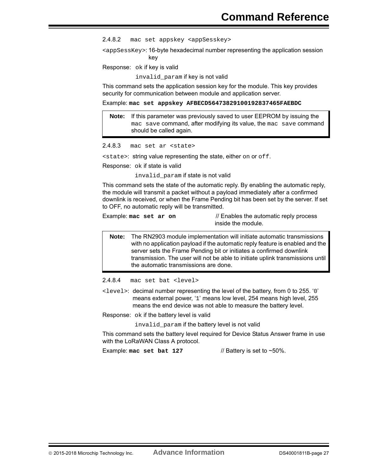<span id="page-26-0"></span>2.4.8.2 mac set appskey <appSesskey>

<appSessKey>: 16-byte hexadecimal number representing the application session key

Response: ok if key is valid

invalid\_param if key is not valid

This command sets the application session key for the module. This key provides security for communication between module and application server.

Example: **mac set appskey AFBECD56473829100192837465FAEBDC**

**Note:** If this parameter was previously saved to user EEPROM by issuing the mac save command, after modifying its value, the mac save command should be called again.

```
2.4.8.3 mac set ar <state>
```
<state>: string value representing the state, either on or off.

Response: ok if state is valid

invalid\_param if state is not valid

This command sets the state of the automatic reply. By enabling the automatic reply, the module will transmit a packet without a payload immediately after a confirmed downlink is received, or when the Frame Pending bit has been set by the server. If set to OFF, no automatic reply will be transmitted.

Example: **mac set ar on** // Enables the automatic reply process inside the module.

**Note:** The RN2903 module implementation will initiate automatic transmissions with no application payload if the automatic reply feature is enabled and the server sets the Frame Pending bit or initiates a confirmed downlink transmission. The user will not be able to initiate uplink transmissions until the automatic transmissions are done.

<span id="page-26-2"></span>2.4.8.4 mac set bat <level>

<level>: decimal number representing the level of the battery, from 0 to 255. '0' means external power, '1' means low level, 254 means high level, 255 means the end device was not able to measure the battery level.

Response: ok if the battery level is valid

invalid\_param if the battery level is not valid

This command sets the battery level required for Device Status Answer frame in use with the LoRaWAN Class A protocol.

Example: mac set bat 127 // Battery is set to ~50%.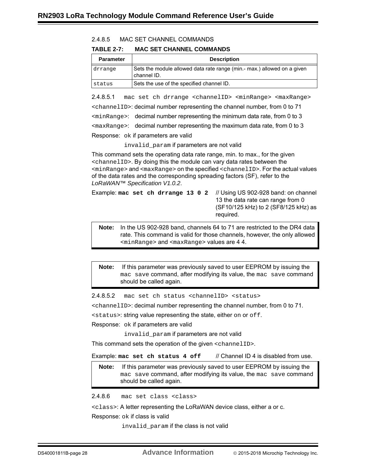<span id="page-27-0"></span>

| 2.4.8.5 |  | MAC SET CHANNEL COMMANDS |
|---------|--|--------------------------|
|         |  |                          |

**TABLE 2-7: MAC SET CHANNEL COMMANDS**

| <b>Parameter</b> | <b>Description</b>                                                                     |
|------------------|----------------------------------------------------------------------------------------|
| drrange          | Sets the module allowed data rate range (min.- max.) allowed on a given<br>channel ID. |
| status           | Sets the use of the specified channel ID.                                              |

2.4.8.5.1 mac set ch drrange <channelID> <minRange> <maxRange> <channelID>: decimal number representing the channel number, from 0 to 71 <minRange>: decimal number representing the minimum data rate, from 0 to 3  $\epsilon$   $\alpha$  axRange>: decimal number representing the maximum data rate, from 0 to 3 Response: ok if parameters are valid

invalid\_param if parameters are not valid

This command sets the operating data rate range, min. to max., for the given <channelID>. By doing this the module can vary data rates between the  $\epsilon$ minRange> and  $\epsilon$ maxRange> on the specified  $\epsilon$ channelID>. For the actual values of the data rates and the corresponding spreading factors (SF), refer to the *LoRaWAN™ Specification V1.0.2*.

|  |  |  |  | Example: mac set ch drrange 13 0 2 // Using US 902-928 band: on channel<br>13 the data rate can range from 0<br>(SF10/125 kHz) to 2 (SF8/125 kHz) as<br>required. |
|--|--|--|--|-------------------------------------------------------------------------------------------------------------------------------------------------------------------|
|--|--|--|--|-------------------------------------------------------------------------------------------------------------------------------------------------------------------|

**Note:** In the US 902-928 band, channels 64 to 71 are restricted to the DR4 data rate. This command is valid for those channels, however, the only allowed <minRange> and <maxRange> values are 4 4.

**Note:** If this parameter was previously saved to user EEPROM by issuing the mac save command, after modifying its value, the mac save command should be called again.

2.4.8.5.2 mac set ch status <channelID> <status>

<channelID>: decimal number representing the channel number, from 0 to 71.

<status>: string value representing the state, either on or off.

Response: ok if parameters are valid

invalid param if parameters are not valid

This command sets the operation of the given <channelID>.

Example: mac set ch status 4 of f // Channel ID 4 is disabled from use.

**Note:** If this parameter was previously saved to user EEPROM by issuing the mac save command, after modifying its value, the mac save command should be called again.

<span id="page-27-1"></span>2.4.8.6 mac set class <class>

<class>: A letter representing the LoRaWAN device class, either a or c.

Response: ok if class is valid

invalid param if the class is not valid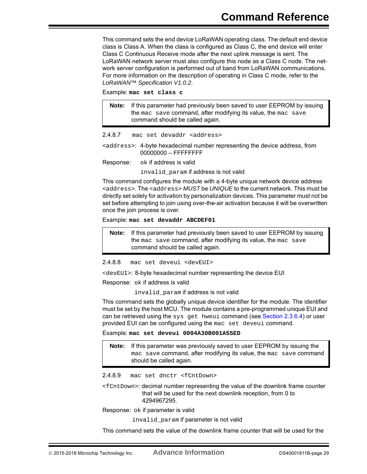This command sets the end device LoRaWAN operating class. The default end device class is Class A. When the class is configured as Class C, the end device will enter Class C Continuous Receive mode after the next uplink message is sent. The LoRaWAN network server must also configure this node as a Class C node. The network server configuration is performed out of band from LoRaWAN communications. For more information on the description of operating in Class C mode, refer to the *LoRaWAN™ Specification V1.0.2*.

Example: **mac set class c**

**Note:** If this parameter had previously been saved to user EEPROM by issuing the mac save command, after modifying its value, the mac save command should be called again.

<span id="page-28-0"></span>2.4.8.7 mac set devaddr <address>

<address>: 4-byte hexadecimal number representing the device address, from 00000000 – FFFFFFFF

Response: ok if address is valid

invalid\_param if address is not valid

This command configures the module with a 4-byte unique network device address <address>. The <address> *MUST* be *UNIQUE* to the current network. This must be directly set solely for activation by personalization devices. This parameter must not be set before attempting to join using over-the-air activation because it will be overwritten once the join process is over.

Example: **mac set devaddr ABCDEF01**

**Note:** If this parameter had previously been saved to user EEPROM by issuing the mac save command, after modifying its value, the mac save command should be called again.

<span id="page-28-1"></span>2.4.8.8 mac set deveui <devEUI>

<devEUI>: 8-byte hexadecimal number representing the device EUI

Response: ok if address is valid

invalid\_param if address is not valid

This command sets the globally unique device identifier for the module. The identifier must be set by the host MCU. The module contains a pre-programmed unique EUI and can be retrieved using the sys get hweui command (see Section [2.3.6.4](#page-19-1)) or user provided EUI can be configured using the mac set deveui command.

Example: **mac set deveui 0004A30B001A55ED**

**Note:** If this parameter was previously saved to user EEPROM by issuing the mac save command, after modifying its value, the mac save command should be called again.

<span id="page-28-2"></span>2.4.8.9 mac set dnctr <fCntDown>

<fCntDown>: decimal number representing the value of the downlink frame counter that will be used for the next downlink reception, from 0 to 4294967295.

Response: ok if parameter is valid

invalid\_param if parameter is not valid

This command sets the value of the downlink frame counter that will be used for the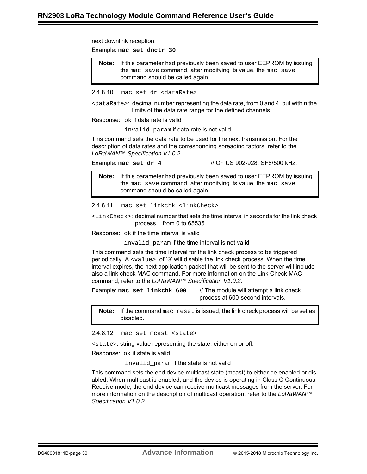<span id="page-29-0"></span>next downlink reception. Example: **mac set dnctr 30** 2.4.8.10 mac set dr <dataRate> <dataRate>: decimal number representing the data rate, from 0 and 4, but within the limits of the data rate range for the defined channels. Response: ok if data rate is valid invalid\_param if data rate is not valid This command sets the data rate to be used for the next transmission. For the description of data rates and the corresponding spreading factors, refer to the *LoRaWAN™ Specification V1.0.2*. Example: **mac set dr 4** // On US 902-928; SF8/500 kHz. 2.4.8.11 mac set linkchk <linkCheck>  $\langle$ linkCheck $\rangle$ : decimal number that sets the time interval in seconds for the link check process, from 0 to 65535 Response: ok if the time interval is valid invalid param if the time interval is not valid This command sets the time interval for the link check process to be triggered periodically. A <value> of '0' will disable the link check process. When the time interval expires, the next application packet that will be sent to the server will include also a link check MAC command. For more information on the Link Check MAC command, refer to the *LoRaWAN™ Specification V1.0.2*. Example: **mac set linkchk 600** // The module will attempt a link check process at 600-second intervals. **Note:** If this parameter had previously been saved to user EEPROM by issuing the mac save command, after modifying its value, the mac save command should be called again. **Note:** If this parameter had previously been saved to user EEPROM by issuing the mac save command, after modifying its value, the mac save command should be called again.

<span id="page-29-1"></span>**Note:** If the command mac reset is issued, the link check process will be set as disabled.

<span id="page-29-2"></span>2.4.8.12 mac set mcast <state>

<state>: string value representing the state, either on or off.

Response: ok if state is valid

invalid param if the state is not valid

This command sets the end device multicast state (mcast) to either be enabled or disabled. When multicast is enabled, and the device is operating in Class C Continuous Receive mode, the end device can receive multicast messages from the server. For more information on the description of multicast operation, refer to the *LoRaWAN™ Specification V1.0.2*.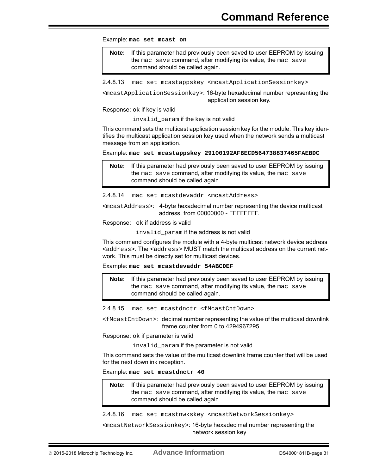Example: **mac set mcast on**

**Note:** If this parameter had previously been saved to user EEPROM by issuing the mac save command, after modifying its value, the mac save command should be called again.

<span id="page-30-0"></span>2.4.8.13 mac set mcastappskey <mcastApplicationSessionkey>

<mcastApplicationSessionkey>: 16-byte hexadecimal number representing the application session key.

Response: ok if key is valid

invalid param if the key is not valid

This command sets the multicast application session key for the module. This key identifies the multicast application session key used when the network sends a multicast message from an application.

Example: **mac set mcastappskey 29100192AFBECD564738837465FAEBDC**

**Note:** If this parameter had previously been saved to user EEPROM by issuing the mac save command, after modifying its value, the mac save command should be called again.

<span id="page-30-1"></span>2.4.8.14 mac set mcastdevaddr <mcastAddress>

<mcastAddress>: 4-byte hexadecimal number representing the device multicast address, from 00000000 - FFFFFFFF.

Response: ok if address is valid

invalid param if the address is not valid

This command configures the module with a 4-byte multicast network device address <address>. The <address> MUST match the multicast address on the current network. This must be directly set for multicast devices.

Example: **mac set mcastdevaddr 54ABCDEF**

**Note:** If this parameter had previously been saved to user EEPROM by issuing the mac save command, after modifying its value, the mac save command should be called again.

<span id="page-30-2"></span>2.4.8.15 mac set mcastdnctr <fMcastCntDown>

<fMcastCntDown>: decimal number representing the value of the multicast downlink frame counter from 0 to 4294967295.

Response: ok if parameter is valid

invalid param if the parameter is not valid

This command sets the value of the multicast downlink frame counter that will be used for the next downlink reception.

Example: **mac set mcastdnctr 40**

**Note:** If this parameter had previously been saved to user EEPROM by issuing the mac save command, after modifying its value, the mac save command should be called again.

<span id="page-30-3"></span>2.4.8.16 mac set mcastnwkskey <mcastNetworkSessionkey>

<mcastNetworkSessionkey>: 16-byte hexadecimal number representing the network session key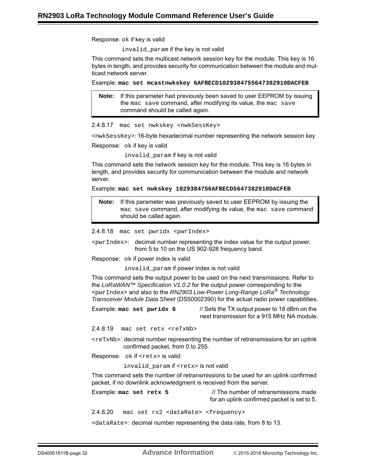Response: ok if key is valid

invalid\_param if the key is not valid

This command sets the multicast network session key for the module. This key is 16 bytes in length, and provides security for communication between the module and multicast network server.

Example: **mac set mcastnwkskey 6AFBECD1029384755647382910DACFEB**

**Note:** If this parameter had previously been saved to user EEPROM by issuing the mac save command, after modifying its value, the mac save command should be called again.

<span id="page-31-0"></span>2.4.8.17 mac set nwkskey <nwkSessKey>

<nwkSessKey>: 16-byte hexadecimal number representing the network session key

Response: ok if key is valid

invalid\_param if key is not valid

This command sets the network session key for the module. This key is 16 bytes in length, and provides security for communication between the module and network server.

Example: **mac set nwkskey 1029384756AFBECD5647382910DACFEB**

**Note:** If this parameter was previously saved to user EEPROM by issuing the mac save command, after modifying its value, the mac save command should be called again.

<span id="page-31-1"></span>2.4.8.18 mac set pwridx <pwrIndex>

<pwrIndex>: decimal number representing the index value for the output power, from 5 to 10 on the US 902-928 frequency band.

Response: ok if power index is valid

invalid param if power index is not valid

This command sets the output power to be used on the next transmissions. Refer to the *LoRaWAN™ Specification V1.0.2* for the output power corresponding to the <pwrIndex> and also to the *RN2903 Low-Power Long-Range LoRa® Technology Transceiver Module Data Sheet* (DS50002390) for the actual radio power capabilities.

Example: **mac set pwridx 6** // Sets the TX output power to 18 dBm on the

next transmission for a 915 MHz NA module.

<span id="page-31-2"></span>2.4.8.19 mac set retx <reTxNb>

 $\langle$   $\langle$   $\rangle$   $\langle$   $\rangle$   $\langle$   $\rangle$  decimal number representing the number of retransmissions for an uplink confirmed packet, from 0 to 255.

Response: ok if <retx> is valid

invalid\_param if <retx> is not valid

This command sets the number of retransmissions to be used for an uplink confirmed packet, if no downlink acknowledgment is received from the server.

Example: **mac set retx 5** // The number of retransmissions made for an uplink confirmed packet is set to 5.

<span id="page-31-3"></span>2.4.8.20 mac set rx2 <dataRate> <frequency>

<dataRate>: decimal number representing the data rate, from 8 to 13.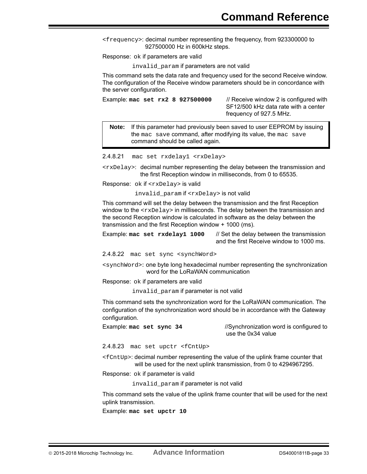<frequency>: decimal number representing the frequency, from 923300000 to 927500000 Hz in 600kHz steps.

Response: ok if parameters are valid

invalid\_param if parameters are not valid

This command sets the data rate and frequency used for the second Receive window. The configuration of the Receive window parameters should be in concordance with the server configuration.

Example: **mac set rx2 8 927500000** // Receive window 2 is configured with SF12/500 kHz data rate with a center frequency of 927.5 MHz.

**Note:** If this parameter had previously been saved to user EEPROM by issuing the mac save command, after modifying its value, the mac save command should be called again.

<span id="page-32-0"></span>2.4.8.21 mac set rxdelay1 <rxDelay>

<rxDelay>: decimal number representing the delay between the transmission and the first Reception window in milliseconds, from 0 to 65535.

Response: ok if <rxDelay> is valid

invalid\_param if <rxDelay> is not valid

This command will set the delay between the transmission and the first Reception window to the  $\langle x \rangle$   $\leq$   $\langle x \rangle$   $\geq$  in milliseconds. The delay between the transmission and the second Reception window is calculated in software as the delay between the transmission and the first Reception window + 1000 (ms).

Example: **mac set rxdelay1 1000** // Set the delay between the transmission and the first Receive window to 1000 ms.

<span id="page-32-1"></span>2.4.8.22 mac set sync <synchWord>

<synchWord>: one byte long hexadecimal number representing the synchronization word for the LoRaWAN communication

Response: ok if parameters are valid

invalid param if parameter is not valid

This command sets the synchronization word for the LoRaWAN communication. The configuration of the synchronization word should be in accordance with the Gateway configuration.

Example: **mac set sync 34** //Synchronization word is configured to use the 0x34 value

<span id="page-32-2"></span>2.4.8.23 mac set upctr <fCntUp>

<fCntUp>: decimal number representing the value of the uplink frame counter that will be used for the next uplink transmission, from 0 to 4294967295.

Response: ok if parameter is valid

invalid param if parameter is not valid

This command sets the value of the uplink frame counter that will be used for the next uplink transmission.

Example: **mac set upctr 10**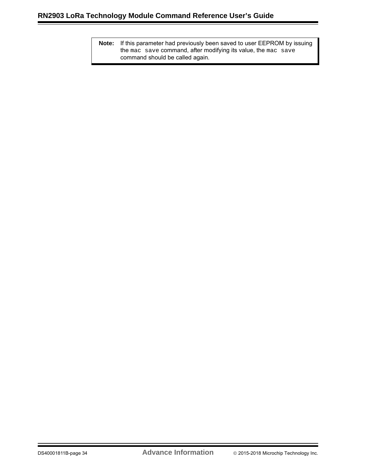**Note:** If this parameter had previously been saved to user EEPROM by issuing the mac save command, after modifying its value, the mac save command should be called again.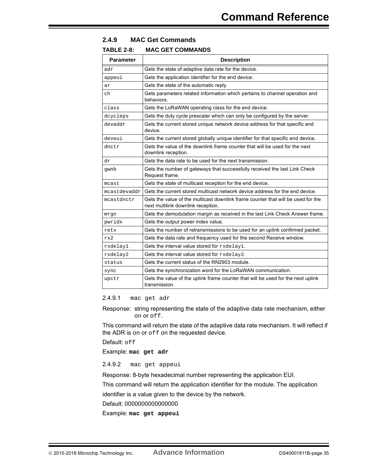#### <span id="page-34-0"></span>**2.4.9 MAC Get Commands**

### **TABLE 2-8: MAC GET COMMANDS**

| <b>Parameter</b> | <b>Description</b>                                                                                                     |
|------------------|------------------------------------------------------------------------------------------------------------------------|
| adr              | Gets the state of adaptive data rate for the device.                                                                   |
| appeui           | Gets the application identifier for the end device.                                                                    |
| ar               | Gets the state of the automatic reply.                                                                                 |
| ch               | Gets parameters related information which pertains to channel operation and<br>behaviors.                              |
| class            | Gets the LoRaWAN operating class for the end device.                                                                   |
| dcycleps         | Gets the duty cycle prescaler which can only be configured by the server.                                              |
| devaddr          | Gets the current stored unique network device address for that specific end<br>device.                                 |
| deveui           | Gets the current stored globally unique identifier for that specific end device.                                       |
| dnctr            | Gets the value of the downlink frame counter that will be used for the next<br>downlink reception.                     |
| dr               | Gets the data rate to be used for the next transmission.                                                               |
| gwnb             | Gets the number of gateways that successfully received the last Link Check<br>Request frame.                           |
| mcast            | Gets the state of multicast reception for the end device.                                                              |
| mcastdevaddr     | Gets the current stored multicast network device address for the end device.                                           |
| mcastdnctr       | Gets the value of the multicast downlink frame counter that will be used for the<br>next multilink downlink reception. |
| mrgn             | Gets the demodulation margin as received in the last Link Check Answer frame.                                          |
| pwridx           | Gets the output power index value.                                                                                     |
| retx             | Gets the number of retransmissions to be used for an uplink confirmed packet.                                          |
| rx2              | Gets the data rate and frequency used for the second Receive window.                                                   |
| rxdelay1         | Gets the interval value stored for rxdelay1.                                                                           |
| rxdelay2         | Gets the interval value stored for rxdelay2.                                                                           |
| status           | Gets the current status of the RN2903 module.                                                                          |
| sync             | Gets the synchronization word for the LoRaWAN communication.                                                           |
| upctr            | Gets the value of the uplink frame counter that will be used for the next uplink<br>transmission.                      |

<span id="page-34-1"></span>2.4.9.1 mac get adr

Response: string representing the state of the adaptive data rate mechanism, either on or off.

This command will return the state of the adaptive data rate mechanism. It will reflect if the ADR is on or off on the requested device.

Default: off

Example: **mac get adr** 

<span id="page-34-2"></span>2.4.9.2 mac get appeui

Response: 8-byte hexadecimal number representing the application EUI.

This command will return the application identifier for the module. The application

identifier is a value given to the device by the network.

Default: 0000000000000000

Example: **mac get appeui**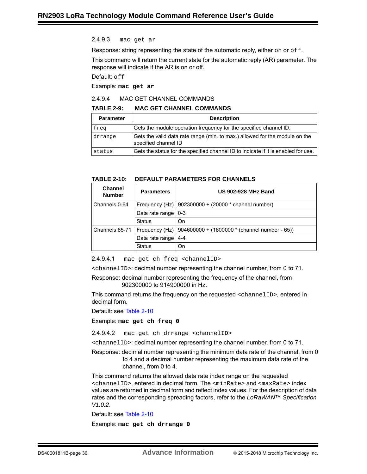#### <span id="page-35-0"></span>2.4.9.3 mac get ar

Response: string representing the state of the automatic reply, either on or  $\sigma$  f.f.

This command will return the current state for the automatic reply (AR) parameter. The response will indicate if the AR is on or off.

Default: off

Example: **mac get ar**

#### <span id="page-35-1"></span>2.4.9.4 MAC GET CHANNEL COMMANDS

#### **TABLE 2-9: MAC GET CHANNEL COMMANDS**

| <b>Parameter</b> | <b>Description</b>                                                                                  |
|------------------|-----------------------------------------------------------------------------------------------------|
| freg             | Gets the module operation frequency for the specified channel ID.                                   |
| drrange          | Gets the valid data rate range (min. to max.) allowed for the module on the<br>specified channel ID |
| status           | Gets the status for the specified channel ID to indicate if it is enabled for use.                  |

#### <span id="page-35-2"></span>**TABLE 2-10: DEFAULT PARAMETERS FOR CHANNELS**

| <b>Channel</b><br><b>Number</b> | <b>Parameters</b>     | <b>US 902-928 MHz Band</b>                                       |
|---------------------------------|-----------------------|------------------------------------------------------------------|
| Channels 0-64                   |                       | Frequency (Hz)   902300000 + (20000 * channel number)            |
|                                 | Data rate range   0-3 |                                                                  |
|                                 | <b>Status</b>         | On                                                               |
| Channels 65-71                  |                       | Frequency (Hz) $ 904600000 + (1600000 * (channel number - 65)) $ |
|                                 | Data rate range       | 4-4                                                              |
|                                 | <b>Status</b>         | On                                                               |

2.4.9.4.1 mac get ch freq <channelID>

<channelID>: decimal number representing the channel number, from 0 to 71.

Response: decimal number representing the frequency of the channel, from 902300000 to 914900000 in Hz.

This command returns the frequency on the requested <channelID>, entered in decimal form.

Default: see [Table 2-10](#page-35-2)

Example: **mac get ch freq 0**

2.4.9.4.2 mac get ch drrange <channelID>

<channelID>: decimal number representing the channel number, from 0 to 71.

Response: decimal number representing the minimum data rate of the channel, from 0 to 4 and a decimal number representing the maximum data rate of the channel, from 0 to 4.

This command returns the allowed data rate index range on the requested <channelID>, entered in decimal form. The <minRate> and <maxRate> index values are returned in decimal form and reflect index values. For the description of data rates and the corresponding spreading factors, refer to the *LoRaWAN™ Specification V1.0.2*.

Default: see [Table 2-10](#page-35-2)

Example: **mac get ch drrange 0**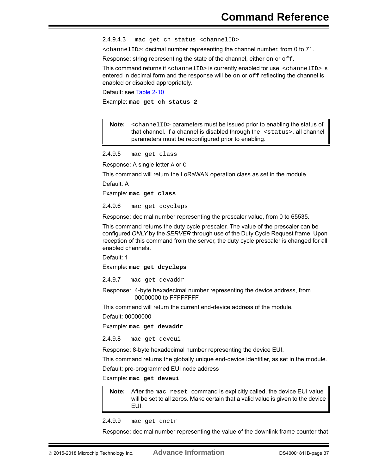2.4.9.4.3 mac get ch status <channelID>

<channelID>: decimal number representing the channel number, from 0 to 71.

Response: string representing the state of the channel, either on or off.

This command returns if <channelID> is currently enabled for use. <channelID> is entered in decimal form and the response will be  $\circ$ n or  $\circ$ f reflecting the channel is enabled or disabled appropriately.

Default: see [Table 2-10](#page-35-2)

Example: **mac get ch status 2**

**Note:** <channelID> parameters must be issued prior to enabling the status of that channel. If a channel is disabled through the <status>, all channel parameters must be reconfigured prior to enabling.

<span id="page-36-0"></span>2.4.9.5 mac get class

Response: A single letter A or C

This command will return the LoRaWAN operation class as set in the module.

Default: A

Example: **mac get class**

<span id="page-36-1"></span>2.4.9.6 mac get dcycleps

Response: decimal number representing the prescaler value, from 0 to 65535.

This command returns the duty cycle prescaler. The value of the prescaler can be configured *ONLY* by the *SERVER* through use of the Duty Cycle Request frame. Upon reception of this command from the server, the duty cycle prescaler is changed for all enabled channels.

Default: 1

Example: **mac get dcycleps**

<span id="page-36-2"></span>2.4.9.7 mac get devaddr

Response: 4-byte hexadecimal number representing the device address, from 00000000 to FFFFFFFF.

This command will return the current end-device address of the module.

Default: 00000000

Example: **mac get devaddr**

<span id="page-36-3"></span>2.4.9.8 mac get deveui

Response: 8-byte hexadecimal number representing the device EUI.

This command returns the globally unique end-device identifier, as set in the module.

Default: pre-programmed EUI node address

Example: **mac get deveui**

**Note:** After the mac reset command is explicitly called, the device EUI value will be set to all zeros. Make certain that a valid value is given to the device EUI.

<span id="page-36-4"></span>2.4.9.9 mac get dnctr

Response: decimal number representing the value of the downlink frame counter that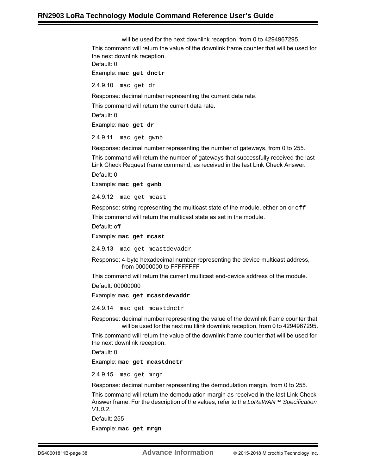will be used for the next downlink reception, from 0 to 4294967295. This command will return the value of the downlink frame counter that will be used for the next downlink reception. Default: 0 Example: **mac get dnctr**

<span id="page-37-0"></span>2.4.9.10 mac get dr

Response: decimal number representing the current data rate.

This command will return the current data rate.

Default: 0

Example: **mac get dr**

<span id="page-37-1"></span>2.4.9.11 mac get gwnb

Response: decimal number representing the number of gateways, from 0 to 255.

This command will return the number of gateways that successfully received the last Link Check Request frame command, as received in the last Link Check Answer.

Default: 0

Example: **mac get gwnb**

<span id="page-37-2"></span>2.4.9.12 mac get mcast

Response: string representing the multicast state of the module, either on or off

This command will return the multicast state as set in the module.

Default: off

Example: **mac get mcast**

<span id="page-37-3"></span>2.4.9.13 mac get mcastdevaddr

Response: 4-byte hexadecimal number representing the device multicast address, from 00000000 to FFFFFFFF

This command will return the current multicast end-device address of the module.

Default: 00000000

Example: **mac get mcastdevaddr**

<span id="page-37-4"></span>2.4.9.14 mac get mcastdnctr

Response: decimal number representing the value of the downlink frame counter that will be used for the next multilink downlink reception, from 0 to 4294967295.

This command will return the value of the downlink frame counter that will be used for the next downlink reception.

Default: 0

Example: **mac get mcastdnctr**

<span id="page-37-5"></span>2.4.9.15 mac get mrgn

Response: decimal number representing the demodulation margin, from 0 to 255.

This command will return the demodulation margin as received in the last Link Check Answer frame. For the description of the values, refer to the *LoRaWAN™ Specification V1.0.2*.

Default: 255

Example: **mac get mrgn**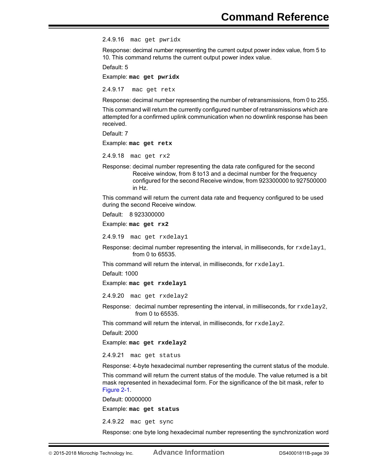<span id="page-38-0"></span>2.4.9.16 mac get pwridx

Response: decimal number representing the current output power index value, from 5 to 10. This command returns the current output power index value.

Default: 5

Example: **mac get pwridx**

<span id="page-38-1"></span>2.4.9.17 mac get retx

Response: decimal number representing the number of retransmissions, from 0 to 255.

This command will return the currently configured number of retransmissions which are attempted for a confirmed uplink communication when no downlink response has been received.

Default: 7

Example: **mac get retx**

<span id="page-38-2"></span>2.4.9.18 mac get rx2

Response: decimal number representing the data rate configured for the second Receive window, from 8 to13 and a decimal number for the frequency configured for the second Receive window, from 923300000 to 927500000 in Hz.

This command will return the current data rate and frequency configured to be used during the second Receive window.

Default: 8 923300000

Example: **mac get rx2** 

<span id="page-38-3"></span>2.4.9.19 mac get rxdelay1

Response: decimal number representing the interval, in milliseconds, for  $r \times d$  elergition, from 0 to 65535.

This command will return the interval, in milliseconds, for rxdelay1.

Default: 1000

Example: **mac get rxdelay1**

<span id="page-38-4"></span>2.4.9.20 mac get rxdelay2

Response: decimal number representing the interval, in milliseconds, for  $rxdelay2$ , from 0 to 65535.

This command will return the interval, in milliseconds, for rxdelay2.

Default: 2000

Example: **mac get rxdelay2**

<span id="page-38-5"></span>2.4.9.21 mac get status

Response: 4-byte hexadecimal number representing the current status of the module.

This command will return the current status of the module. The value returned is a bit mask represented in hexadecimal form. For the significance of the bit mask, refer to [Figure 2-1.](#page-40-0)

Default: 00000000

Example: **mac get status**

<span id="page-38-6"></span>2.4.9.22 mac get sync

Response: one byte long hexadecimal number representing the synchronization word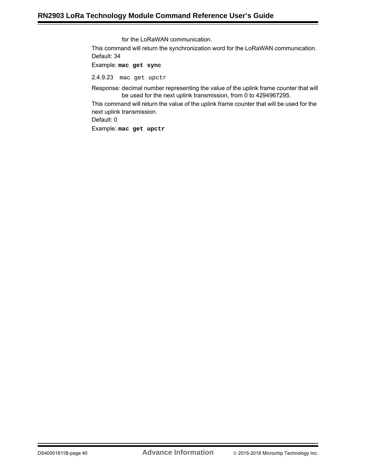for the LoRaWAN communication.

This command will return the synchronization word for the LoRaWAN communication. Default: 34

### Example: **mac get sync**

<span id="page-39-0"></span>2.4.9.23 mac get upctr

Response: decimal number representing the value of the uplink frame counter that will be used for the next uplink transmission, from 0 to 4294967295.

This command will return the value of the uplink frame counter that will be used for the next uplink transmission.

Default: 0

Example: **mac get upctr**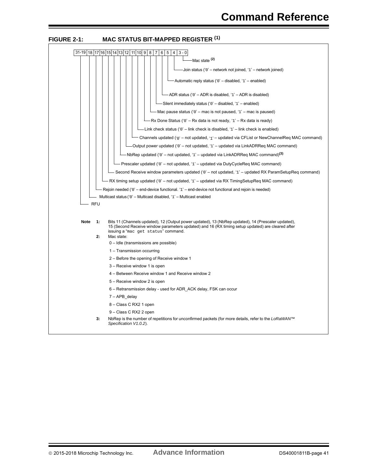<span id="page-40-0"></span>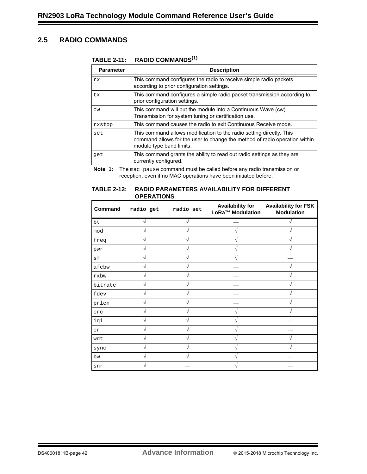# <span id="page-41-0"></span>**2.5 RADIO COMMANDS**

#### **TABLE 2-11: RADIO COMMANDS(1)**

| <b>Parameter</b> | <b>Description</b>                                                                                                                                                             |
|------------------|--------------------------------------------------------------------------------------------------------------------------------------------------------------------------------|
| rx.              | This command configures the radio to receive simple radio packets<br>according to prior configuration settings.                                                                |
| tx               | This command configures a simple radio packet transmission according to<br>prior configuration settings.                                                                       |
| CW               | This command will put the module into a Continuous Wave (cw)<br>Transmission for system tuning or certification use.                                                           |
| rxstop           | This command causes the radio to exit Continuous Receive mode.                                                                                                                 |
| set              | This command allows modification to the radio setting directly. This<br>command allows for the user to change the method of radio operation within<br>module type band limits. |
| qet              | This command grants the ability to read out radio settings as they are<br>currently configured.                                                                                |

**Note 1:** The mac pause command must be called before any radio transmission or reception, even if no MAC operations have been initiated before.

#### **TABLE 2-12: RADIO PARAMETERS AVAILABILITY FOR DIFFERENT OPERATIONS**

| Command | radio get | radio set | <b>Availability for</b><br>LoRa™ Modulation | <b>Availability for FSK</b><br><b>Modulation</b> |
|---------|-----------|-----------|---------------------------------------------|--------------------------------------------------|
| bt      |           |           |                                             |                                                  |
| mod     |           |           |                                             |                                                  |
| freq    |           |           |                                             |                                                  |
| pwr     |           |           |                                             |                                                  |
| sf      |           |           |                                             |                                                  |
| afcbw   |           |           |                                             |                                                  |
| rxbw    |           |           |                                             |                                                  |
| bitrate |           |           |                                             |                                                  |
| fdev    |           |           |                                             |                                                  |
| prlen   |           |           |                                             |                                                  |
| crc     |           |           |                                             |                                                  |
| iqi     |           |           |                                             |                                                  |
| cr      |           |           |                                             |                                                  |
| wdt     |           |           |                                             |                                                  |
| sync    |           |           |                                             |                                                  |
| bw      |           |           |                                             |                                                  |
| snr     |           |           |                                             |                                                  |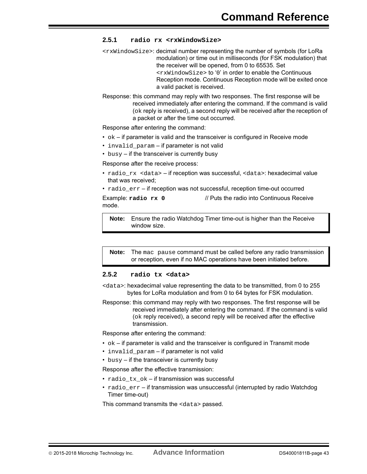#### <span id="page-42-0"></span>**2.5.1 radio rx <rxWindowSize>**

- <rxWindowSize>: decimal number representing the number of symbols (for LoRa modulation) or time out in milliseconds (for FSK modulation) that the receiver will be opened, from 0 to 65535. Set <rxWindowSize> to '0' in order to enable the Continuous Reception mode. Continuous Reception mode will be exited once a valid packet is received.
- Response: this command may reply with two responses. The first response will be received immediately after entering the command. If the command is valid (ok reply is received), a second reply will be received after the reception of a packet or after the time out occurred.

Response after entering the command:

- $\bullet$   $\circ$ k if parameter is valid and the transceiver is configured in Receive mode
- invalid param if parameter is not valid
- $\cdot$  busy if the transceiver is currently busy

Response after the receive process:

- radio rx <data> if reception was successful, <data>: hexadecimal value that was received;
- $\cdot$  radio  $err if$  reception was not successful, reception time-out occurred

Example: **radio rx 0** // Puts the radio into Continuous Receive mode.

**Note:** Ensure the radio Watchdog Timer time-out is higher than the Receive window size.

**Note:** The mac pause command must be called before any radio transmission or reception, even if no MAC operations have been initiated before.

#### <span id="page-42-1"></span>**2.5.2 radio tx <data>**

- <data>: hexadecimal value representing the data to be transmitted, from 0 to 255 bytes for LoRa modulation and from 0 to 64 bytes for FSK modulation.
- Response: this command may reply with two responses. The first response will be received immediately after entering the command. If the command is valid (ok reply received), a second reply will be received after the effective transmission.

Response after entering the command:

- $\bullet$  ok if parameter is valid and the transceiver is configured in Transmit mode
- invalid\_param if parameter is not valid
- $\cdot$  busy if the transceiver is currently busy

Response after the effective transmission:

- radio tx ok if transmission was successful
- radio\_err if transmission was unsuccessful (interrupted by radio Watchdog Timer time-out)

This command transmits the <data> passed.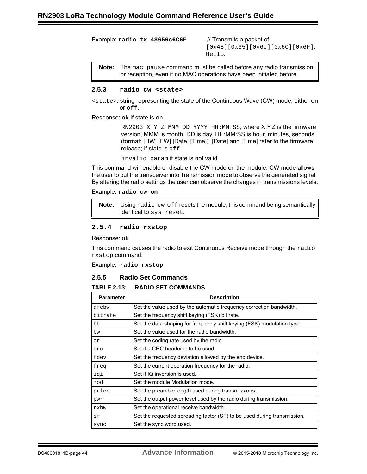Example: **radio tx 48656c6C6F** // Transmits a packet of

[0x48][0x65][0x6c][0x6C][0x6F]; Hello.

**Note:** The mac pause command must be called before any radio transmission or reception, even if no MAC operations have been initiated before.

#### <span id="page-43-0"></span>**2.5.3 radio cw <state>**

<state>: string representing the state of the Continuous Wave (CW) mode, either on or off.

Response: ok if state is on

RN2903 X.Y.Z MMM DD YYYY HH:MM:SS, where X.Y.Z is the firmware version, MMM is month, DD is day, HH:MM:SS is hour, minutes, seconds (format: [HW] [FW] [Date] [Time]). [Date] and [Time] refer to the firmware release; if state is off.

invalid\_param if state is not valid

This command will enable or disable the CW mode on the module. CW mode allows the user to put the transceiver into Transmission mode to observe the generated signal. By altering the radio settings the user can observe the changes in transmissions levels.

Example: **radio cw on**

**Note:** Using radio cw off resets the module, this command being semantically identical to sys reset.

#### <span id="page-43-1"></span>**2.5.4 radio rxstop**

Response: ok

This command causes the radio to exit Continuous Receive mode through the  $_{\rm radio}$ rxstop command.

Example: **radio rxstop**

#### <span id="page-43-2"></span>**2.5.5 Radio Set Commands**

#### **TABLE 2-13: RADIO SET COMMANDS**

| <b>Parameter</b> | <b>Description</b>                                                      |  |  |  |  |  |  |
|------------------|-------------------------------------------------------------------------|--|--|--|--|--|--|
| afcbw            | Set the value used by the automatic frequency correction bandwidth.     |  |  |  |  |  |  |
| bitrate          | Set the frequency shift keying (FSK) bit rate.                          |  |  |  |  |  |  |
| bt               | Set the data shaping for frequency shift keying (FSK) modulation type.  |  |  |  |  |  |  |
| bw               | Set the value used for the radio bandwidth.                             |  |  |  |  |  |  |
| cr               | Set the coding rate used by the radio.                                  |  |  |  |  |  |  |
| crc              | Set if a CRC header is to be used.                                      |  |  |  |  |  |  |
| fdev             | Set the frequency deviation allowed by the end device.                  |  |  |  |  |  |  |
| freq             | Set the current operation frequency for the radio.                      |  |  |  |  |  |  |
| iqi              | Set if IQ inversion is used.                                            |  |  |  |  |  |  |
| mod              | Set the module Modulation mode.                                         |  |  |  |  |  |  |
| prlen            | Set the preamble length used during transmissions.                      |  |  |  |  |  |  |
| pwr              | Set the output power level used by the radio during transmission.       |  |  |  |  |  |  |
| rxbw             | Set the operational receive bandwidth.                                  |  |  |  |  |  |  |
| sf               | Set the requested spreading factor (SF) to be used during transmission. |  |  |  |  |  |  |
| sync             | Set the sync word used.                                                 |  |  |  |  |  |  |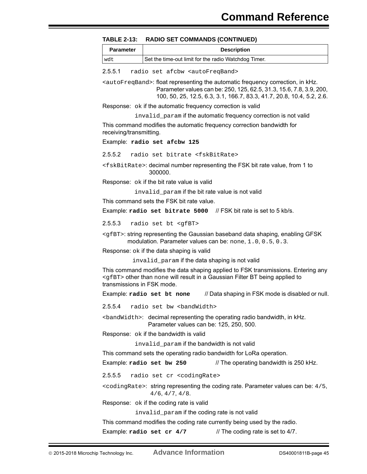| TABLE 2-13: RADIO SET COMMANDS (CONTINUED) |  |
|--------------------------------------------|--|
|--------------------------------------------|--|

| <b>Parameter</b> | <b>Description</b>                                   |
|------------------|------------------------------------------------------|
| wdt              | Set the time-out limit for the radio Watchdog Timer. |

<span id="page-44-0"></span>2.5.5.1 radio set afcbw <autoFreqBand>

<autoFreqBand>: float representing the automatic frequency correction, in kHz. Parameter values can be: 250, 125, 62.5, 31.3, 15.6, 7.8, 3.9, 200, 100, 50, 25, 12.5, 6.3, 3.1, 166.7, 83.3, 41.7, 20.8, 10.4, 5.2, 2.6.

Response: ok if the automatic frequency correction is valid

invalid\_param if the automatic frequency correction is not valid

This command modifies the automatic frequency correction bandwidth for receiving/transmitting.

Example: **radio set afcbw 125**

<span id="page-44-1"></span>2.5.5.2 radio set bitrate <fskBitRate>

<fskBitRate>: decimal number representing the FSK bit rate value, from 1 to 300000.

Response: ok if the bit rate value is valid

invalid\_param if the bit rate value is not valid

This command sets the FSK bit rate value.

Example: **radio set bitrate 5000** // FSK bit rate is set to 5 kb/s.

<span id="page-44-2"></span>2.5.5.3 radio set bt <gfBT>

<gfBT>: string representing the Gaussian baseband data shaping, enabling GFSK modulation. Parameter values can be: none, 1, 0, 0, 5, 0, 3.

Response: ok if the data shaping is valid

invalid param if the data shaping is not valid

This command modifies the data shaping applied to FSK transmissions. Entering any <gfBT> other than none will result in a Gaussian Filter BT being applied to transmissions in FSK mode.

Example: **radio set bt none** // Data shaping in FSK mode is disabled or null.

<span id="page-44-3"></span>2.5.5.4 radio set bw <br />bandWidth>

<bandWidth>: decimal representing the operating radio bandwidth, in kHz. Parameter values can be: 125, 250, 500.

Response: ok if the bandwidth is valid

invalid param if the bandwidth is not valid

This command sets the operating radio bandwidth for LoRa operation.

Example: **radio set bw 250** // The operating bandwidth is 250 kHz.

<span id="page-44-4"></span>2.5.5.5 radio set cr <codingRate>

 $\epsilon$ codingRate>: string representing the coding rate. Parameter values can be:  $4/5$ , 4/6, 4/7, 4/8.

Response: ok if the coding rate is valid

invalid\_param if the coding rate is not valid

This command modifies the coding rate currently being used by the radio.

Example: **radio set cr 4/7** // The coding rate is set to 4/7.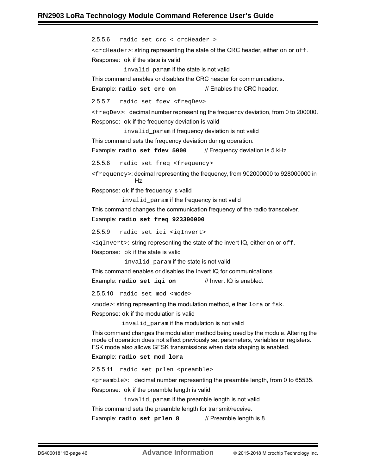<span id="page-45-2"></span><span id="page-45-1"></span><span id="page-45-0"></span>2.5.5.6 radio set crc < crcHeader > <crcHeader>: string representing the state of the CRC header, either on or off. Response: ok if the state is valid invalid\_param if the state is not valid This command enables or disables the CRC header for communications. Example: **radio set crc on** // Enables the CRC header. 2.5.5.7 radio set fdev <freqDev> <freqDev>: decimal number representing the frequency deviation, from 0 to 200000. Response: ok if the frequency deviation is valid invalid\_param if frequency deviation is not valid This command sets the frequency deviation during operation. Example: radio set fdev 5000 // Frequency deviation is 5 kHz. 2.5.5.8 radio set freq <frequency> <frequency>: decimal representing the frequency, from 902000000 to 928000000 in Hz. Response: ok if the frequency is valid invalid\_param if the frequency is not valid This command changes the communication frequency of the radio transceiver. Example: **radio set freq 923300000** 2.5.5.9 radio set iqi <iqInvert>  $\langle$  iqInvert>: string representing the state of the invert IQ, either on or off. Response: ok if the state is valid invalid param if the state is not valid This command enables or disables the Invert IQ for communications. Example: **radio set iqi on** // Invert IQ is enabled. 2.5.5.10 radio set mod <mode> <mode>: string representing the modulation method, either lora or fsk. Response: ok if the modulation is valid invalid param if the modulation is not valid This command changes the modulation method being used by the module. Altering the mode of operation does not affect previously set parameters, variables or registers. FSK mode also allows GFSK transmissions when data shaping is enabled. Example: **radio set mod lora** 2.5.5.11 radio set prlen <preamble> <preamble>: decimal number representing the preamble length, from 0 to 65535. Response: ok if the preamble length is valid

<span id="page-45-4"></span><span id="page-45-3"></span>invalid param if the preamble length is not valid

<span id="page-45-5"></span>This command sets the preamble length for transmit/receive.

Example: **radio set prlen 8** // Preamble length is 8.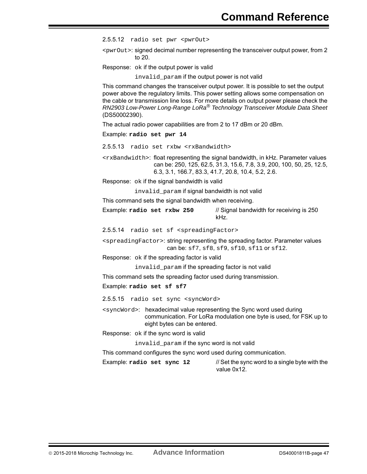<span id="page-46-0"></span>2.5.5.12 radio set pwr <pwrOut>

<pwrOut>: signed decimal number representing the transceiver output power, from 2 to 20.

Response: ok if the output power is valid

invalid\_param if the output power is not valid

This command changes the transceiver output power. It is possible to set the output power above the regulatory limits. This power setting allows some compensation on the cable or transmission line loss. For more details on output power please check the *RN2903 Low-Power Long-Range LoRa® Technology Transceiver Module Data Sheet* (DS50002390).

The actual radio power capabilities are from 2 to 17 dBm or 20 dBm.

Example: **radio set pwr 14**

<span id="page-46-1"></span>2.5.5.13 radio set rxbw <rxBandwidth>

<rxBandwidth>: float representing the signal bandwidth, in kHz. Parameter values can be: 250, 125, 62.5, 31.3, 15.6, 7.8, 3.9, 200, 100, 50, 25, 12.5, 6.3, 3.1, 166.7, 83.3, 41.7, 20.8, 10.4, 5.2, 2.6.

Response: ok if the signal bandwidth is valid

invalid\_param if signal bandwidth is not valid

This command sets the signal bandwidth when receiving.

Example: radio set rxbw 250 // Signal bandwidth for receiving is 250 kHz.

<span id="page-46-2"></span>2.5.5.14 radio set sf <spreadingFactor>

<spreadingFactor>: string representing the spreading factor. Parameter values can be: sf7, sf8, sf9, sf10, sf11 or sf12.

Response: ok if the spreading factor is valid

invalid\_param if the spreading factor is not valid

This command sets the spreading factor used during transmission.

Example: **radio set sf sf7**

<span id="page-46-3"></span>2.5.5.15 radio set sync <syncWord>

<syncWord>: hexadecimal value representing the Sync word used during communication. For LoRa modulation one byte is used, for FSK up to eight bytes can be entered.

Response: ok if the sync word is valid

invalid param if the sync word is not valid

This command configures the sync word used during communication.

Example: **radio set sync 12** // Set the sync word to a single byte with the value 0x12.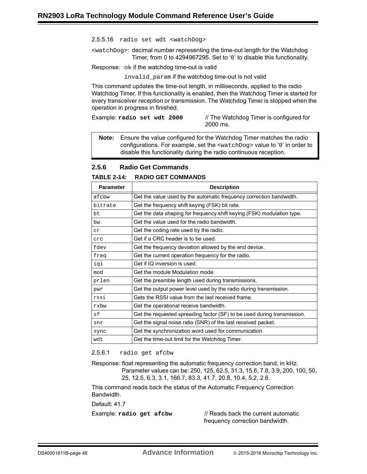<span id="page-47-0"></span>2.5.5.16 radio set wdt <watchDog>

<watchDog>: decimal number representing the time-out length for the Watchdog Timer, from 0 to 4294967295. Set to '0' to disable this functionality.

Response: ok if the watchdog time-out is valid

invalid\_param if the watchdog time-out is not valid

This command updates the time-out length, in milliseconds, applied to the radio Watchdog Timer. If this functionality is enabled, then the Watchdog Timer is started for every transceiver reception or transmission. The Watchdog Timer is stopped when the operation in progress in finished.

Example: radio set wdt 2000 // The Watchdog Timer is configured for 2000 ms.

**Note:** Ensure the value configured for the Watchdog Timer matches the radio configurations. For example, set the <watchDog> value to '0' in order to disable this functionality during the radio continuous reception.

#### <span id="page-47-1"></span>**2.5.6 Radio Get Commands**

**TABLE 2-14: RADIO GET COMMANDS**

| <b>Parameter</b> | <b>Description</b>                                                      |
|------------------|-------------------------------------------------------------------------|
| afcbw            | Get the value used by the automatic frequency correction bandwidth.     |
| bitrate          | Get the frequency shift keying (FSK) bit rate.                          |
| bt.              | Get the data shaping for frequency shift keying (FSK) modulation type.  |
| bw               | Get the value used for the radio bandwidth.                             |
| cr               | Get the coding rate used by the radio.                                  |
| crc              | Get if a CRC header is to be used.                                      |
| fdev             | Get the frequency deviation allowed by the end device.                  |
| freq             | Get the current operation frequency for the radio.                      |
| igi              | Get if IQ inversion is used.                                            |
| mod              | Get the module Modulation mode.                                         |
| prlen            | Get the preamble length used during transmissions.                      |
| pwr              | Get the output power level used by the radio during transmission.       |
| rssi             | Gets the RSSI value from the last received frame.                       |
| rxbw             | Get the operational receive bandwidth.                                  |
| sf               | Get the requested spreading factor (SF) to be used during transmission. |
| snr              | Get the signal noise ratio (SNR) of the last received packet.           |
| sync             | Get the synchronization word used for communication.                    |
| wdt              | Get the time-out limit for the Watchdog Timer.                          |

#### <span id="page-47-2"></span>2.5.6.1 radio get afcbw

Response: float representing the automatic frequency correction band, in kHz. Parameter values can be: 250, 125, 62.5, 31.3, 15.6, 7.8, 3.9, 200, 100, 50, 25, 12.5, 6.3, 3.1, 166.7, 83.3, 41.7, 20.8, 10.4, 5.2, 2.6.

This command reads back the status of the Automatic Frequency Correction Bandwidth.

Default: 41.7

Example: **radio get afcbw** // Reads back the current automatic frequency correction bandwidth.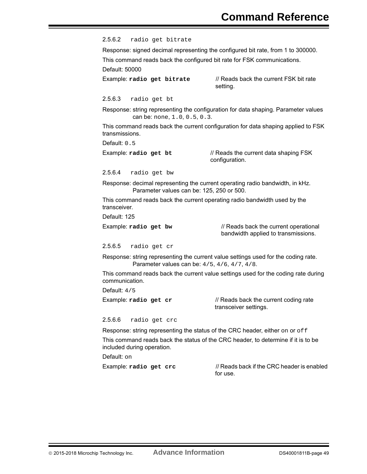<span id="page-48-0"></span>2.5.6.2 radio get bitrate

Response: signed decimal representing the configured bit rate, from 1 to 300000. This command reads back the configured bit rate for FSK communications.

Default: 50000

Example: radio get bitrate // Reads back the current FSK bit rate setting.

<span id="page-48-1"></span>2.5.6.3 radio get bt

Response: string representing the configuration for data shaping. Parameter values can be: none, 1.0, 0.5, 0.3.

This command reads back the current configuration for data shaping applied to FSK transmissions.

Default: 0.5

Example: **radio get bt** // Reads the current data shaping FSK configuration.

<span id="page-48-2"></span>2.5.6.4 radio get bw

Response: decimal representing the current operating radio bandwidth, in kHz. Parameter values can be: 125, 250 or 500.

This command reads back the current operating radio bandwidth used by the transceiver.

Default: 125

Example: **radio get bw** // Reads back the current operational bandwidth applied to transmissions.

<span id="page-48-3"></span>2.5.6.5 radio get cr

Response: string representing the current value settings used for the coding rate. Parameter values can be: 4/5, 4/6, 4/7, 4/8.

This command reads back the current value settings used for the coding rate during communication.

Default: 4/5

Example: **radio** get cr // Reads back the current coding rate transceiver settings.

<span id="page-48-4"></span>2.5.6.6 radio get crc

Response: string representing the status of the CRC header, either on or off

This command reads back the status of the CRC header, to determine if it is to be included during operation.

Default: on

Example: **radio get crc** // Reads back if the CRC header is enabled for use.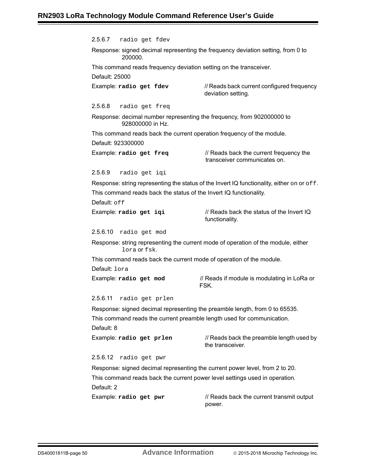<span id="page-49-5"></span><span id="page-49-4"></span><span id="page-49-3"></span><span id="page-49-2"></span><span id="page-49-1"></span><span id="page-49-0"></span>2.5.6.7 radio get fdev Response: signed decimal representing the frequency deviation setting, from 0 to 200000. This command reads frequency deviation setting on the transceiver. Default: 25000 Example: **radio get fdev** // Reads back current configured frequency deviation setting. 2.5.6.8 radio get freq Response: decimal number representing the frequency, from 902000000 to 928000000 in Hz. This command reads back the current operation frequency of the module. Default: 923300000 Example: **radio get freq** // Reads back the current frequency the transceiver communicates on. 2.5.6.9 radio get iqi Response: string representing the status of the Invert IQ functionality, either on or  $\circ$  f f. This command reads back the status of the Invert IQ functionality. Default: off Example: radio get iqi **// Reads back the status of the Invert IQ** functionality. 2.5.6.10 radio get mod Response: string representing the current mode of operation of the module, either lora or fsk. This command reads back the current mode of operation of the module. Default: lora Example: **radio get mod** // Reads if module is modulating in LoRa or FSK. 2.5.6.11 radio get prlen Response: signed decimal representing the preamble length, from 0 to 65535. This command reads the current preamble length used for communication. Default: 8 Example: **radio** get prlen *//* Reads back the preamble length used by the transceiver. 2.5.6.12 radio get pwr Response: signed decimal representing the current power level, from 2 to 20. This command reads back the current power level settings used in operation. Default: 2 Example: **radio get pwr** // Reads back the current transmit output power.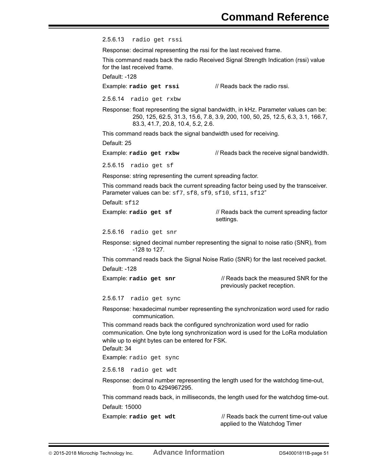<span id="page-50-0"></span>2.5.6.13 radio get rssi

Response: decimal representing the rssi for the last received frame.

This command reads back the radio Received Signal Strength Indication (rssi) value for the last received frame.

Default: -128

Example: **radio get rssi** // Reads back the radio rssi.

<span id="page-50-1"></span>2.5.6.14 radio get rxbw

Response: float representing the signal bandwidth, in kHz. Parameter values can be: 250, 125, 62.5, 31.3, 15.6, 7.8, 3.9, 200, 100, 50, 25, 12.5, 6.3, 3.1, 166.7, 83.3, 41.7, 20.8, 10.4, 5.2, 2.6.

This command reads back the signal bandwidth used for receiving.

Default: 25

Example: **radio get rxbw** // Reads back the receive signal bandwidth.

<span id="page-50-2"></span>2.5.6.15 radio get sf

Response: string representing the current spreading factor.

This command reads back the current spreading factor being used by the transceiver. Parameter values can be: sf7, sf8, sf9, sf10, sf11, sf12"

Default: sf12

Example: **radio get sf** // Reads back the current spreading factor settings.

<span id="page-50-3"></span>2.5.6.16 radio get snr

Response: signed decimal number representing the signal to noise ratio (SNR), from -128 to 127.

This command reads back the Signal Noise Ratio (SNR) for the last received packet.

Default: -128

Example: **radio get snr** // Reads back the measured SNR for the previously packet reception.

<span id="page-50-4"></span>2.5.6.17 radio get sync

Response: hexadecimal number representing the synchronization word used for radio communication.

This command reads back the configured synchronization word used for radio communication. One byte long synchronization word is used for the LoRa modulation while up to eight bytes can be entered for FSK.

Default: 34

Example: radio get sync

<span id="page-50-5"></span>2.5.6.18 radio get wdt

Response: decimal number representing the length used for the watchdog time-out, from 0 to 4294967295.

This command reads back, in milliseconds, the length used for the watchdog time-out. Default: 15000

Example: **radio get wdt** // Reads back the current time-out value applied to the Watchdog Timer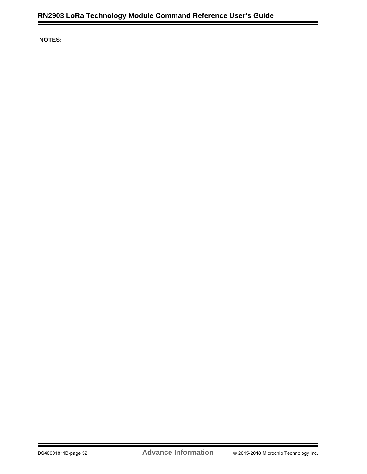**NOTES:**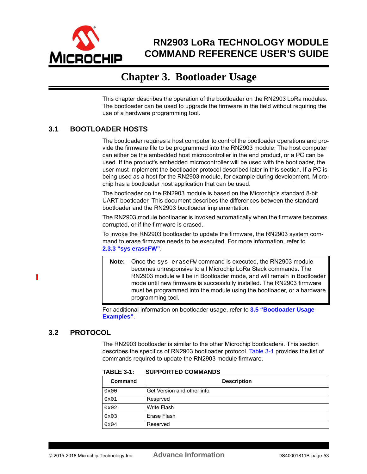<span id="page-52-0"></span>

# **RN2903 LoRa TECHNOLOGY MODULE COMMAND REFERENCE USER'S GUIDE**

# **Chapter 3. Bootloader Usage**

This chapter describes the operation of the bootloader on the RN2903 LoRa modules. The bootloader can be used to upgrade the firmware in the field without requiring the use of a hardware programming tool.

# <span id="page-52-1"></span>**3.1 BOOTLOADER HOSTS**

The bootloader requires a host computer to control the bootloader operations and provide the firmware file to be programmed into the RN2903 module. The host computer can either be the embedded host microcontroller in the end product, or a PC can be used. If the product's embedded microcontroller will be used with the bootloader, the user must implement the bootloader protocol described later in this section. If a PC is being used as a host for the RN2903 module, for example during development, Microchip has a bootloader host application that can be used.

The bootloader on the RN2903 module is based on the Microchip's standard 8-bit UART bootloader. This document describes the differences between the standard bootloader and the RN2903 bootloader implementation.

The RN2903 module bootloader is invoked automatically when the firmware becomes corrupted, or if the firmware is erased.

To invoke the RN2903 bootloader to update the firmware, the RN2903 system command to erase firmware needs to be executed. For more information, refer to **2.3.3 "sys eraseFW"**.

**Note:** Once the sys eraseFW command is executed, the RN2903 module becomes unresponsive to all Microchip LoRa Stack commands. The RN2903 module will be in Bootloader mode, and will remain in Bootloader mode until new firmware is successfully installed. The RN2903 firmware must be programmed into the module using the bootloader, or a hardware programming tool.

For additional information on bootloader usage, refer to **[3.5 "Bootloader Usage](#page-56-0)  [Examples"](#page-56-0)**.

# <span id="page-52-2"></span>**3.2 PROTOCOL**

П

The RN2903 bootloader is similar to the other Microchip bootloaders. This section describes the specifics of RN2903 bootloader protocol. [Table 3-1](#page-52-3) provides the list of commands required to update the RN2903 module firmware.

| IADLL J-I. | <b>SUFFUNILD COMMANDS</b>  |
|------------|----------------------------|
| Command    | <b>Description</b>         |
| 0x00       | Get Version and other info |
| 0x01       | Reserved                   |
| 0x02       | <b>Write Flash</b>         |
| 0x03       | Erase Flash                |
| 0x04       | Reserved                   |

<span id="page-52-3"></span>**TABLE 3-1: SUPPORTED COMMANDS**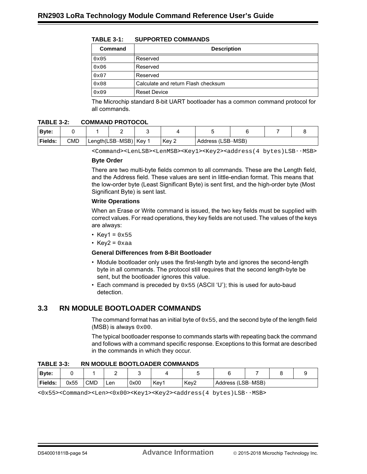|  | <b>TABLE 3-1:</b> | <b>SUPPORTED COMMANDS</b> |
|--|-------------------|---------------------------|
|--|-------------------|---------------------------|

| Command | <b>Description</b>                  |
|---------|-------------------------------------|
| 0x05    | Reserved                            |
| 0x06    | Reserved                            |
| 0x07    | Reserved                            |
| 0x08    | Calculate and return Flash checksum |
| 0x09    | <b>Reset Device</b>                 |

The Microchip standard 8-bit UART bootloader has a common command protocol for all commands.

#### **TABLE 3-2: COMMAND PROTOCOL**

| Byte:   |     |                         |       |                     |  |  |  |
|---------|-----|-------------------------|-------|---------------------|--|--|--|
| Fields: | CMD | Length(LSB·MSB)   Key 1 | Key 2 | Address (LSB · MSB) |  |  |  |

<Command><LenLSB><LenMSB><Key1><Key2><address(4 bytes)LSB..MSB>

#### **Byte Order**

There are two multi-byte fields common to all commands. These are the Length field, and the Address field. These values are sent in little-endian format. This means that the low-order byte (Least Significant Byte) is sent first, and the high-order byte (Most Significant Byte) is sent last.

#### **Write Operations**

When an Erase or Write command is issued, the two key fields must be supplied with correct values. For read operations, they key fields are not used. The values of the keys are always:

- Key1 =  $0x55$
- Key2 =  $0xaa$

#### **General Differences from 8-Bit Bootloader**

- Module bootloader only uses the first-length byte and ignores the second-length byte in all commands. The protocol still requires that the second length-byte be sent, but the bootloader ignores this value.
- Each command is preceded by  $0 \times 55$  (ASCII 'U'); this is used for auto-baud detection.

### <span id="page-53-0"></span>**3.3 RN MODULE BOOTLOADER COMMANDS**

The command format has an initial byte of  $0 \times 55$ , and the second byte of the length field  $(MSB)$  is always  $0 \times 00$ .

The typical bootloader response to commands starts with repeating back the command and follows with a command specific response. Exceptions to this format are described in the commands in which they occur.

**TABLE 3-3: RN MODULE BOOTLOADER COMMANDS**

| <b>Byte:</b>   |      |     |     |      |      |                  |                     |  |  |  |
|----------------|------|-----|-----|------|------|------------------|---------------------|--|--|--|
| <b>Fields:</b> | 0x55 | CMD | Len | 0x00 | Key1 | Key <sub>2</sub> | Address (LSB · MSB) |  |  |  |

<0x55><Command><Len><0x00><Key1><Key2><address(4 bytes)LSB..MSB>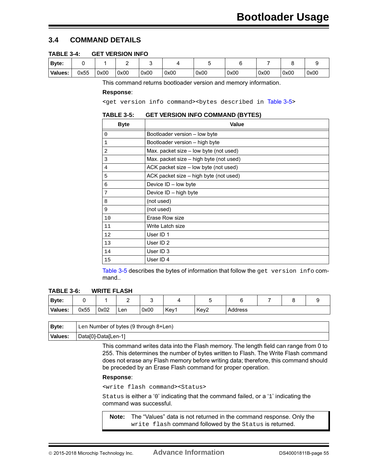# <span id="page-54-0"></span>**3.4 COMMAND DETAILS**

<span id="page-54-2"></span>

| Byte:   |      |      |      |      |      |      |      |      |      |      |
|---------|------|------|------|------|------|------|------|------|------|------|
| Values: | 0x55 | 0x00 | 0x00 | 0x00 | 0x00 | 0x00 | 0x00 | 0x00 | 0x00 | 0x00 |

This command returns bootloader version and memory information.

#### **Response**:

<get version info command><br/>bytes described in [Table 3-5](#page-54-1)>

#### <span id="page-54-1"></span>**TABLE 3-5: GET VERSION INFO COMMAND (BYTES)**

| <b>Byte</b> | Value                                   |
|-------------|-----------------------------------------|
| $\Omega$    | Bootloader version - low byte           |
| 1           | Bootloader version - high byte          |
| 2           | Max. packet size - low byte (not used)  |
| 3           | Max. packet size – high byte (not used) |
| 4           | ACK packet size - low byte (not used)   |
| 5           | ACK packet size - high byte (not used)  |
| 6           | Device ID - low byte                    |
| 7           | Device ID - high byte                   |
| 8           | (not used)                              |
| 9           | (not used)                              |
| 10          | Erase Row size                          |
| 11          | Write Latch size                        |
| 12          | User ID 1                               |
| 13          | User ID <sub>2</sub>                    |
| 14          | User ID 3                               |
| 15          | User ID 4                               |

[Table 3-5](#page-54-1) describes the bytes of information that follow the get version info command..

#### <span id="page-54-3"></span>**TABLE 3-6: WRITE FLASH**

| Byte:   |      |      |     |      |      |      |         |  |  |
|---------|------|------|-----|------|------|------|---------|--|--|
| Values: | 0x55 | 0x02 | Len | 0x00 | Key1 | Key2 | Address |  |  |

| <b>Byte:</b> | Len Number of bytes (9 through 8+Len) |
|--------------|---------------------------------------|
| Values:      | Data[0]-Data[Len-1]                   |

This command writes data into the Flash memory. The length field can range from 0 to 255. This determines the number of bytes written to Flash. The Write Flash command does not erase any Flash memory before writing data; therefore, this command should be preceded by an Erase Flash command for proper operation.

#### **Response**:

<write flash command><Status>

Status is either a '0' indicating that the command failed, or a '1' indicating the command was successful.

**Note:** The "Values" data is not returned in the command response. Only the write flash command followed by the Status is returned.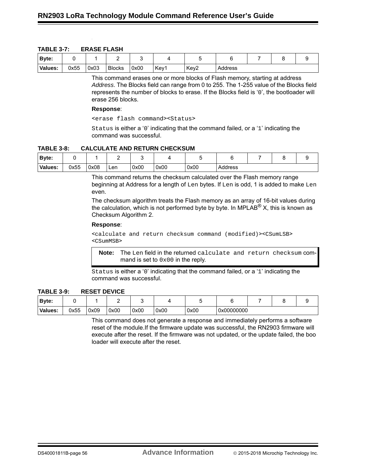<span id="page-55-0"></span>

| <b>TABLE 3-7:</b> | <b>ERASE FLASH</b> |
|-------------------|--------------------|
|-------------------|--------------------|

| <b>Byte:</b> |      |      |               |      |      |                  |         |  |  |
|--------------|------|------|---------------|------|------|------------------|---------|--|--|
| Values:      | 0x55 | 0x03 | <b>Blocks</b> | 0x00 | Key1 | Key <sub>2</sub> | Address |  |  |

This command erases one or more blocks of Flash memory, starting at address *Address*. The Blocks field can range from 0 to 255. The 1-255 value of the Blocks field represents the number of blocks to erase. If the Blocks field is '0', the bootloader will erase 256 blocks.

#### **Response**:

<erase flash command><Status>

Status is either a '0' indicating that the command failed, or a '1' indicating the command was successful.

#### <span id="page-55-1"></span>**TABLE 3-8: CALCULATE AND RETURN CHECKSUM**

| Byte:   |      |      |     |      |      |      |         |  |  |
|---------|------|------|-----|------|------|------|---------|--|--|
| Values: | 0x55 | 0x08 | Len | 0x00 | 0x00 | 0x00 | Address |  |  |

This command returns the checksum calculated over the Flash memory range beginning at Address for a length of Len bytes. If Len is odd, 1 is added to make Len even.

The checksum algorithm treats the Flash memory as an array of 16-bit values during the calculation, which is not performed byte by byte. In MPLAB<sup>®</sup> X, this is known as Checksum Algorithm 2.

#### **Response**:

<calculate and return checksum command (modified)><CSumLSB> <CSumMSB>

**Note:** The Len field in the returned calculate and return checksum command is set to 0x00 in the reply.

Status is either a '0' indicating that the command failed, or a '1' indicating the command was successful.

<span id="page-55-2"></span>**TABLE 3-9: RESET DEVICE**

| Byte:   |      |      |      |      |      |      |            |  |  |
|---------|------|------|------|------|------|------|------------|--|--|
| Values: | 0x55 | 0x09 | 0x00 | 0x00 | 0x00 | 0x00 | 0x00000000 |  |  |

This command does not generate a response and immediately performs a software reset of the module.If the firmware update was successful, the RN2903 firmware will execute after the reset. If the firmware was not updated, or the update failed, the boo loader will execute after the reset.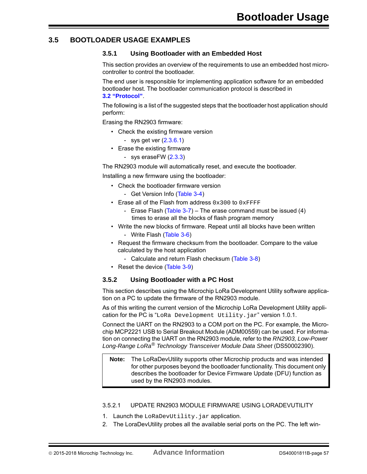### <span id="page-56-0"></span>**3.5 BOOTLOADER USAGE EXAMPLES**

#### <span id="page-56-1"></span>**3.5.1 Using Bootloader with an Embedded Host**

This section provides an overview of the requirements to use an embedded host microcontroller to control the bootloader.

The end user is responsible for implementing application software for an embedded bootloader host. The bootloader communication protocol is described in **[3.2 "Protocol"](#page-52-2)**.

The following is a list of the suggested steps that the bootloader host application should perform:

Erasing the RN2903 firmware:

- Check the existing firmware version
	- sys get ver  $(2.3.6.1)$
- Erase the existing firmware
	- sys eraseFW  $(2.3.3)$

The RN2903 module will automatically reset, and execute the bootloader.

Installing a new firmware using the bootloader:

- Check the bootloader firmware version
	- Get Version Info [\(Table 3-4\)](#page-54-2)
- Erase all of the Flash from address  $0x300$  to  $0x$ FFFF
	- Erase Flash (Table  $3-7$ ) The erase command must be issued (4) times to erase all the blocks of flash program memory
- Write the new blocks of firmware. Repeat until all blocks have been written
	- Write Flash [\(Table 3-6](#page-54-3))
- Request the firmware checksum from the bootloader. Compare to the value calculated by the host application
	- Calculate and return Flash checksum ([Table 3-8\)](#page-55-1)
- Reset the device ([Table 3-9\)](#page-55-2)

#### <span id="page-56-2"></span>**3.5.2 Using Bootloader with a PC Host**

This section describes using the Microchip LoRa Development Utility software application on a PC to update the firmware of the RN2903 module.

As of this writing the current version of the Microchip LoRa Development Utility application for the PC is "LoRa Development Utility.jar" version 1.0.1.

Connect the UART on the RN2903 to a COM port on the PC. For example, the Microchip MCP2221 USB to Serial Breakout Module (ADM00559) can be used. For information on connecting the UART on the RN2903 module, refer to the *RN2903, Low-Power Long-Range LoRa® Technology Transceiver Module Data Sheet* (DS50002390).

#### **Note:** The LoRaDevUtility supports other Microchip products and was intended for other purposes beyond the bootloader functionality. This document only describes the bootloader for Device Firmware Update (DFU) function as used by the RN2903 modules.

### <span id="page-56-3"></span>3.5.2.1 UPDATE RN2903 MODULE FIRMWARE USING LORADEVUTILITY

- 1. Launch the LoRaDevUtility.jar application.
- 2. The LoraDevUtility probes all the available serial ports on the PC. The left win-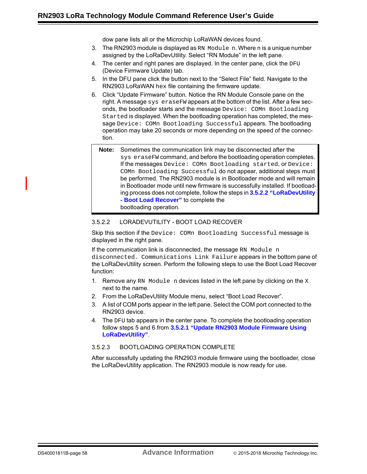dow pane lists all or the Microchip LoRaWAN devices found.

- 3. The RN2903 module is displayed as RN Module n. Where n is a unique number assigned by the LoRaDevUtility. Select "RN Module" in the left pane.
- 4. The center and right panes are displayed. In the center pane, click the DFU (Device Firmware Update) tab.
- 5. In the DFU pane click the button next to the "Select File" field. Navigate to the RN2903 LoRaWAN hex file containing the firmware update.
- 6. Click "Update Firmware" button. Notice the RN Module Console pane on the right. A message sys eraseFW appears at the bottom of the list. After a few seconds, the bootloader starts and the message Device: COMn Bootloading Started is displayed. When the bootloading operation has completed, the message Device: COMn Bootloading Successful appears. The bootloading operation may take 20 seconds or more depending on the speed of the connection.
	- **Note:** Sometimes the communication link may be disconnected after the sys eraseFW command, and before the bootloading operation completes. If the messages Device: COMn Bootloading started, or Device: COMn Bootloading Successful do not appear, additional steps must be performed. The RN2903 module is in Bootloader mode and will remain in Bootloader mode until new firmware is successfully installed. If bootloading process does not complete, follow the steps in **[3.5.2.2 "LoRaDevUtility](#page-57-0)  [- Boot Load Recover"](#page-57-0)** to complete the bootloading operation.

#### <span id="page-57-0"></span>3.5.2.2 LORADEVUTILITY - BOOT LOAD RECOVER

Skip this section if the Device: COMn Bootloading Successful message is displayed in the right pane.

If the communication link is disconnected, the message RN Module n disconnected. Communications Link Failure appears in the bottom pane of the LoRaDevUtility screen. Perform the following steps to use the Boot Load Recover function:

- 1. Remove any RN Module n devices listed in the left pane by clicking on the  $X$ next to the name.
- 2. From the LoRaDevUtility Module menu, select "Boot Load Recover".
- 3. A list of COM ports appear in the left pane. Select the COM port connected to the RN2903 device.
- 4. The DFU tab appears in the center pane. To complete the bootloading operation follow steps 5 and 6 from **[3.5.2.1 "Update RN2903 Module Firmware Using](#page-56-3)  [LoRaDevUtility"](#page-56-3)**.

#### <span id="page-57-1"></span>3.5.2.3 BOOTLOADING OPERATION COMPLETE

After successfully updating the RN2903 module firmware using the bootloader, close the LoRaDevUtility application. The RN2903 module is now ready for use.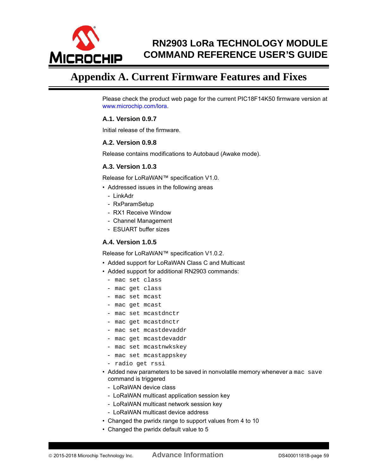

# **RN2903 LoRa TECHNOLOGY MODULE COMMAND REFERENCE USER'S GUIDE**

# <span id="page-58-0"></span>**Appendix A. Current Firmware Features and Fixes**

[Please check the product web page for the current PIC18F14K50 firmware version at](http://www.microchip.com/pagehandler/en-us/technology/personalareanetworks/technology/lora.html)  www.microchip.com/lora.

### **A.1. Version 0.9.7**

Initial release of the firmware.

#### **A.2. Version 0.9.8**

Release contains modifications to Autobaud (Awake mode).

# **A.3. Version 1.0.3**

Release for LoRaWAN™ specification V1.0.

- Addressed issues in the following areas
	- LinkAdr
	- RxParamSetup
	- RX1 Receive Window
	- Channel Management
	- ESUART buffer sizes

#### **A.4. Version 1.0.5**

Release for LoRaWAN™ specification V1.0.2.

- Added support for LoRaWAN Class C and Multicast
- Added support for additional RN2903 commands:
	- mac set class
	- mac get class
	- mac set mcast
	- mac get mcast
	- mac set mcastdnctr
	- mac get mcastdnctr
	- mac set mcastdevaddr
	- mac get mcastdevaddr
	- mac set mcastnwkskey
	- mac set mcastappskey
	- radio get rssi
- Added new parameters to be saved in nonvolatile memory whenever a mac save command is triggered
	- LoRaWAN device class
	- LoRaWAN multicast application session key
	- LoRaWAN multicast network session key
	- LoRaWAN multicast device address
- Changed the pwridx range to support values from 4 to 10
- Changed the pwridx default value to 5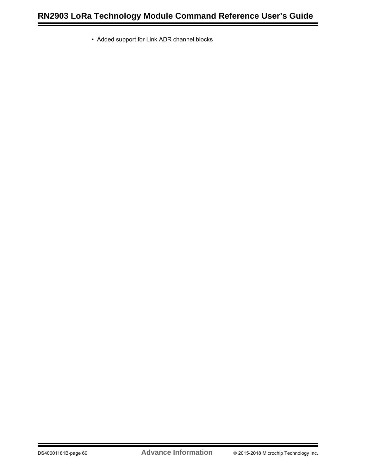• Added support for Link ADR channel blocks